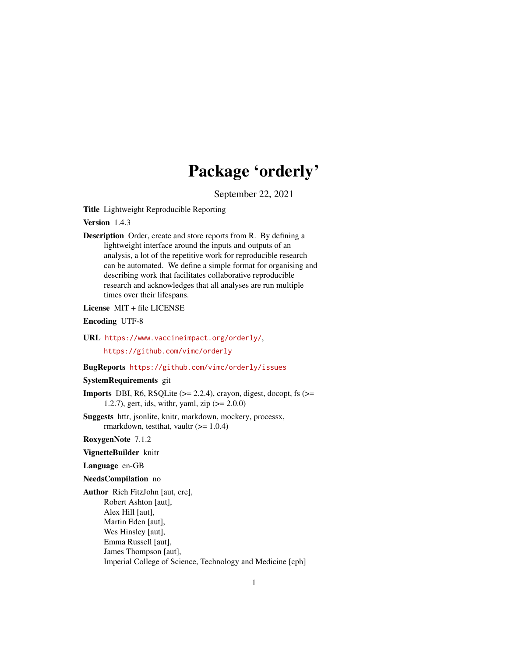# Package 'orderly'

September 22, 2021

<span id="page-0-0"></span>Title Lightweight Reproducible Reporting

Version 1.4.3

Description Order, create and store reports from R. By defining a lightweight interface around the inputs and outputs of an analysis, a lot of the repetitive work for reproducible research can be automated. We define a simple format for organising and describing work that facilitates collaborative reproducible research and acknowledges that all analyses are run multiple times over their lifespans.

License MIT + file LICENSE

Encoding UTF-8

URL <https://www.vaccineimpact.org/orderly/>,

<https://github.com/vimc/orderly>

## BugReports <https://github.com/vimc/orderly/issues>

#### SystemRequirements git

**Imports** DBI, R6, RSQLite  $(>= 2.2.4)$ , crayon, digest, docopt, fs  $(>= 1.2.4)$ 1.2.7), gert, ids, with r, yaml, zip  $(>= 2.0.0)$ 

Suggests httr, jsonlite, knitr, markdown, mockery, processx, rmarkdown, test that, vaultr  $(>= 1.0.4)$ 

RoxygenNote 7.1.2

VignetteBuilder knitr

Language en-GB

NeedsCompilation no

Author Rich FitzJohn [aut, cre], Robert Ashton [aut], Alex Hill [aut], Martin Eden [aut], Wes Hinsley [aut], Emma Russell [aut], James Thompson [aut], Imperial College of Science, Technology and Medicine [cph]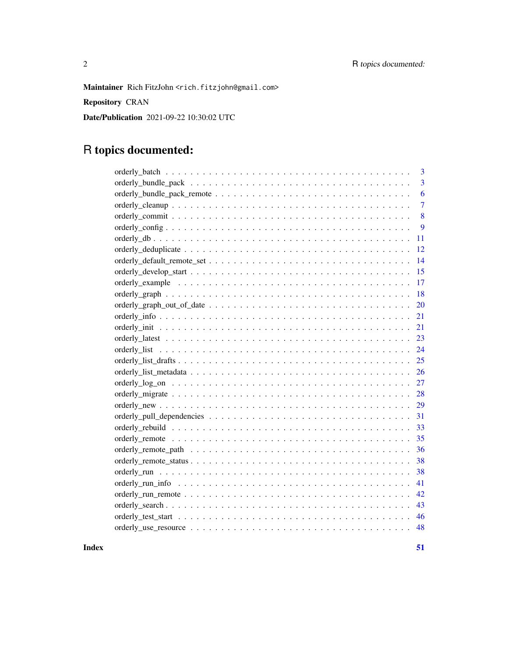Maintainer Rich FitzJohn <rich.fitzjohn@gmail.com>

Repository CRAN

Date/Publication 2021-09-22 10:30:02 UTC

## R topics documented:

| 3              |
|----------------|
| $\overline{3}$ |
| 6              |
| $\overline{7}$ |
| 8              |
| 9              |
| 11             |
| 12             |
| 14             |
| 15             |
| 17             |
| 18             |
| 20             |
| 21             |
| 21             |
| 23             |
| 24             |
| 25             |
| 26             |
| 27             |
| 28             |
| 29             |
| 31             |
| 33             |
| 35             |
| 36             |
| 38             |
| 38             |
| 41             |
| 42             |
| 43             |
| 46             |
|                |
|                |

**Index** [51](#page-50-0)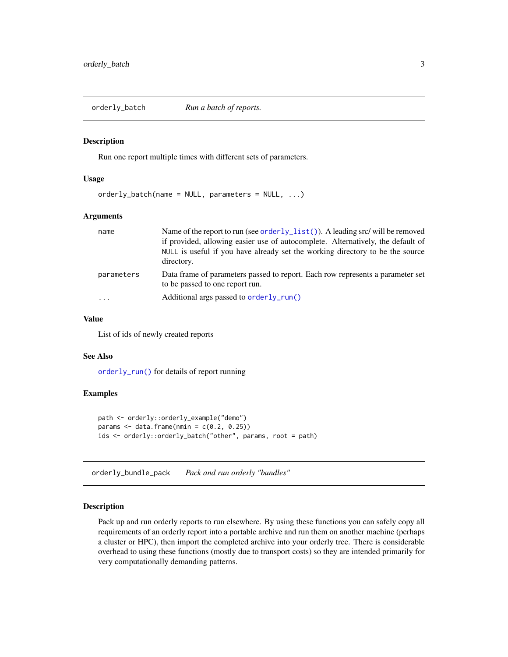<span id="page-2-0"></span>orderly\_batch *Run a batch of reports.*

## Description

Run one report multiple times with different sets of parameters.

#### Usage

orderly\_batch(name = NULL, parameters = NULL, ...)

#### Arguments

| name       | Name of the report to run (see orderly_list()). A leading src/ will be removed<br>if provided, allowing easier use of autocomplete. Alternatively, the default of<br>NULL is useful if you have already set the working directory to be the source<br>directory. |
|------------|------------------------------------------------------------------------------------------------------------------------------------------------------------------------------------------------------------------------------------------------------------------|
| parameters | Data frame of parameters passed to report. Each row represents a parameter set<br>to be passed to one report run.                                                                                                                                                |
| $\cdots$   | Additional args passed to $orderly.run()$                                                                                                                                                                                                                        |

## Value

List of ids of newly created reports

## See Also

[orderly\\_run\(\)](#page-37-1) for details of report running

## Examples

```
path <- orderly::orderly_example("demo")
params \leq data.frame(nmin = c(0.2, 0.25))
ids <- orderly::orderly_batch("other", params, root = path)
```
<span id="page-2-1"></span>orderly\_bundle\_pack *Pack and run orderly "bundles"*

## <span id="page-2-2"></span>Description

Pack up and run orderly reports to run elsewhere. By using these functions you can safely copy all requirements of an orderly report into a portable archive and run them on another machine (perhaps a cluster or HPC), then import the completed archive into your orderly tree. There is considerable overhead to using these functions (mostly due to transport costs) so they are intended primarily for very computationally demanding patterns.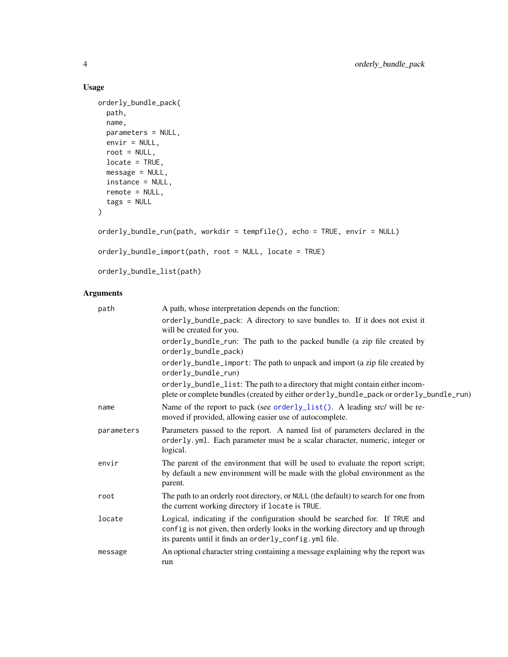## Usage

```
orderly_bundle_pack(
 path,
 name,
 parameters = NULL,
 envir = NULL,
 root = NULL,locate = TRUE,
 message = NULL,
 instance = NULL,
 remote = NULL,
 tags = NULL
)
```
orderly\_bundle\_run(path, workdir = tempfile(), echo = TRUE, envir = NULL)

```
orderly_bundle_import(path, root = NULL, locate = TRUE)
```
orderly\_bundle\_list(path)

## Arguments

| path       | A path, whose interpretation depends on the function:                                                                                                                                                                     |
|------------|---------------------------------------------------------------------------------------------------------------------------------------------------------------------------------------------------------------------------|
|            | orderly_bundle_pack: A directory to save bundles to. If it does not exist it<br>will be created for you.                                                                                                                  |
|            | orderly_bundle_run: The path to the packed bundle (a zip file created by<br>orderly_bundle_pack)                                                                                                                          |
|            | orderly_bundle_import: The path to unpack and import (a zip file created by<br>orderly_bundle_run)                                                                                                                        |
|            | orderly_bundle_list: The path to a directory that might contain either incom-<br>plete or complete bundles (created by either order ly_bundle_pack or order ly_bundle_run)                                                |
| name       | Name of the report to pack (see orderly_list(). A leading src/ will be re-<br>moved if provided, allowing easier use of autocomplete.                                                                                     |
| parameters | Parameters passed to the report. A named list of parameters declared in the<br>orderly.yml. Each parameter must be a scalar character, numeric, integer or<br>logical.                                                    |
| envir      | The parent of the environment that will be used to evaluate the report script;<br>by default a new environment will be made with the global environment as the<br>parent.                                                 |
| root       | The path to an orderly root directory, or NULL (the default) to search for one from<br>the current working directory if locate is TRUE.                                                                                   |
| locate     | Logical, indicating if the configuration should be searched for. If TRUE and<br>config is not given, then orderly looks in the working directory and up through<br>its parents until it finds an orderly_config.yml file. |
| message    | An optional character string containing a message explaining why the report was<br>run                                                                                                                                    |

<span id="page-3-0"></span>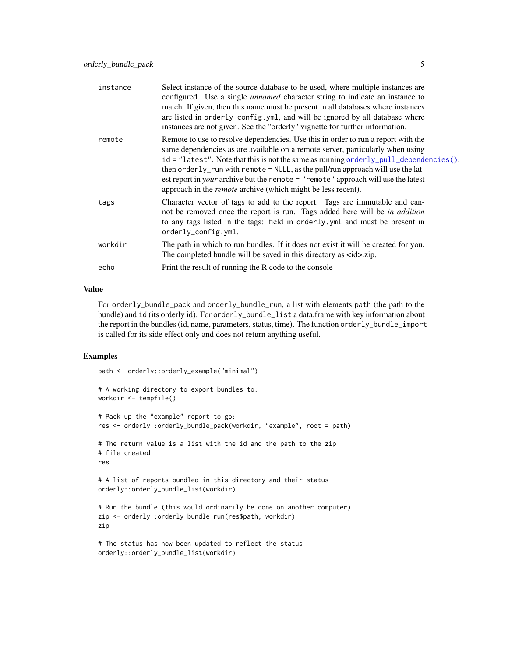<span id="page-4-0"></span>

| instance | Select instance of the source database to be used, where multiple instances are<br>configured. Use a single <i>unnamed</i> character string to indicate an instance to<br>match. If given, then this name must be present in all databases where instances<br>are listed in orderly_config.yml, and will be ignored by all database where<br>instances are not given. See the "orderly" vignette for further information.                                                                                                  |
|----------|----------------------------------------------------------------------------------------------------------------------------------------------------------------------------------------------------------------------------------------------------------------------------------------------------------------------------------------------------------------------------------------------------------------------------------------------------------------------------------------------------------------------------|
| remote   | Remote to use to resolve dependencies. Use this in order to run a report with the<br>same dependencies as are available on a remote server, particularly when using<br>$id = "latest".$ Note that this is not the same as running order $ly\_pull\_dependence($ ),<br>then orderly_run with remote = NULL, as the pull/run approach will use the lat-<br>est report in <i>your</i> archive but the remote $=$ "remote" approach will use the latest<br>approach in the <i>remote</i> archive (which might be less recent). |
| tags     | Character vector of tags to add to the report. Tags are immutable and can-<br>not be removed once the report is run. Tags added here will be in addition<br>to any tags listed in the tags: field in orderly .yml and must be present in<br>orderly_config.yml.                                                                                                                                                                                                                                                            |
| workdir  | The path in which to run bundles. If it does not exist it will be created for you.<br>The completed bundle will be saved in this directory as <id>.zip.</id>                                                                                                                                                                                                                                                                                                                                                               |
| echo     | Print the result of running the R code to the console                                                                                                                                                                                                                                                                                                                                                                                                                                                                      |

## Value

For orderly\_bundle\_pack and orderly\_bundle\_run, a list with elements path (the path to the bundle) and id (its orderly id). For orderly\_bundle\_list a data.frame with key information about the report in the bundles (id, name, parameters, status, time). The function orderly\_bundle\_import is called for its side effect only and does not return anything useful.

#### Examples

path <- orderly::orderly\_example("minimal")

```
# A working directory to export bundles to:
workdir <- tempfile()
# Pack up the "example" report to go:
res <- orderly::orderly_bundle_pack(workdir, "example", root = path)
# The return value is a list with the id and the path to the zip
# file created:
res
# A list of reports bundled in this directory and their status
orderly::orderly_bundle_list(workdir)
# Run the bundle (this would ordinarily be done on another computer)
zip <- orderly::orderly_bundle_run(res$path, workdir)
zip
# The status has now been updated to reflect the status
```

```
orderly::orderly_bundle_list(workdir)
```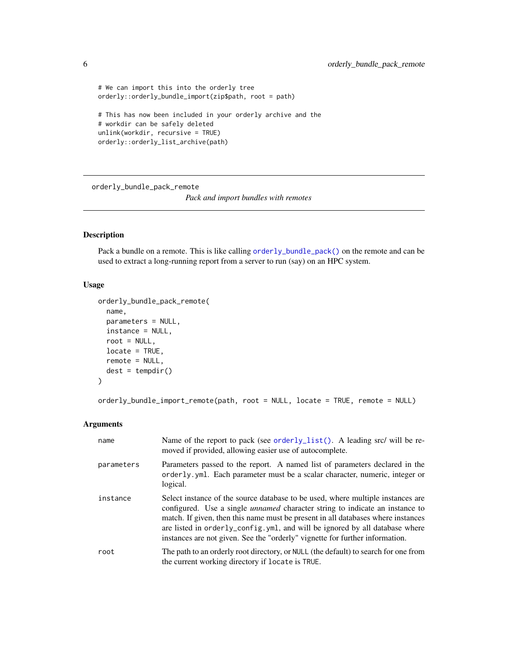```
# We can import this into the orderly tree
orderly::orderly_bundle_import(zip$path, root = path)
# This has now been included in your orderly archive and the
# workdir can be safely deleted
unlink(workdir, recursive = TRUE)
orderly::orderly_list_archive(path)
```
orderly\_bundle\_pack\_remote

*Pack and import bundles with remotes*

## Description

Pack a bundle on a remote. This is like calling [orderly\\_bundle\\_pack\(\)](#page-2-1) on the remote and can be used to extract a long-running report from a server to run (say) on an HPC system.

## Usage

```
orderly_bundle_pack_remote(
  name,
 parameters = NULL,
  instance = NULL,
  root = NULL,locate = TRUE,
  remote = NULL,
  dest = tempdir())
```
orderly\_bundle\_import\_remote(path, root = NULL, locate = TRUE, remote = NULL)

## Arguments

| name       | Name of the report to pack (see orderly_list(). A leading src/ will be re-<br>moved if provided, allowing easier use of autocomplete.                                                                                                                                                                                                                                                                                     |
|------------|---------------------------------------------------------------------------------------------------------------------------------------------------------------------------------------------------------------------------------------------------------------------------------------------------------------------------------------------------------------------------------------------------------------------------|
| parameters | Parameters passed to the report. A named list of parameters declared in the<br>orderly yml. Each parameter must be a scalar character, numeric, integer or<br>logical.                                                                                                                                                                                                                                                    |
| instance   | Select instance of the source database to be used, where multiple instances are<br>configured. Use a single <i>unnamed</i> character string to indicate an instance to<br>match. If given, then this name must be present in all databases where instances<br>are listed in orderly_config.yml, and will be ignored by all database where<br>instances are not given. See the "orderly" vignette for further information. |
| root       | The path to an orderly root directory, or NULL (the default) to search for one from<br>the current working directory if locate is TRUE.                                                                                                                                                                                                                                                                                   |

<span id="page-5-0"></span>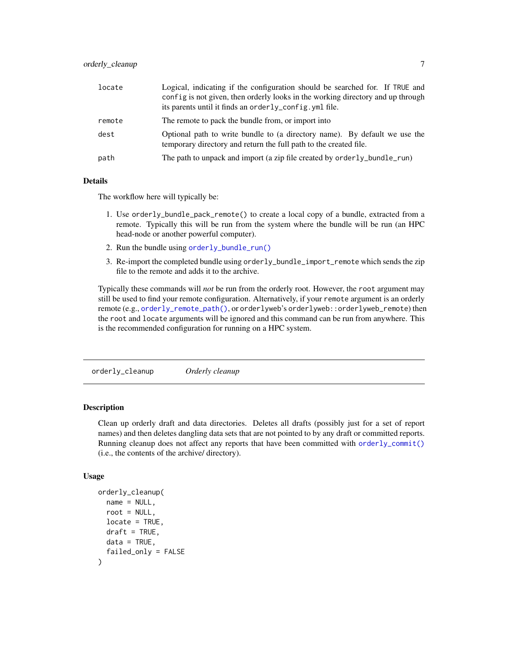<span id="page-6-0"></span>

| locate | Logical, indicating if the configuration should be searched for. If TRUE and<br>config is not given, then orderly looks in the working directory and up through |
|--------|-----------------------------------------------------------------------------------------------------------------------------------------------------------------|
|        | its parents until it finds an orderly_config. yml file.                                                                                                         |
| remote | The remote to pack the bundle from, or import into                                                                                                              |
| dest   | Optional path to write bundle to (a directory name). By default we use the<br>temporary directory and return the full path to the created file.                 |
| path   | The path to unpack and import (a zip file created by orderly_bundle_run)                                                                                        |

#### Details

The workflow here will typically be:

- 1. Use orderly\_bundle\_pack\_remote() to create a local copy of a bundle, extracted from a remote. Typically this will be run from the system where the bundle will be run (an HPC head-node or another powerful computer).
- 2. Run the bundle using [orderly\\_bundle\\_run\(\)](#page-2-2)
- 3. Re-import the completed bundle using orderly\_bundle\_import\_remote which sends the zip file to the remote and adds it to the archive.

Typically these commands will *not* be run from the orderly root. However, the root argument may still be used to find your remote configuration. Alternatively, if your remote argument is an orderly remote (e.g., [orderly\\_remote\\_path\(\)](#page-35-1), or orderlyweb's orderlyweb::orderlyweb\_remote) then the root and locate arguments will be ignored and this command can be run from anywhere. This is the recommended configuration for running on a HPC system.

orderly\_cleanup *Orderly cleanup*

#### **Description**

Clean up orderly draft and data directories. Deletes all drafts (possibly just for a set of report names) and then deletes dangling data sets that are not pointed to by any draft or committed reports. Running cleanup does not affect any reports that have been committed with [orderly\\_commit\(\)](#page-7-1) (i.e., the contents of the archive/ directory).

#### Usage

```
orderly_cleanup(
  name = NULL,root = NULL,locate = TRUE,
  draft = TRUE,
  data = TRUE,failed_only = FALSE
)
```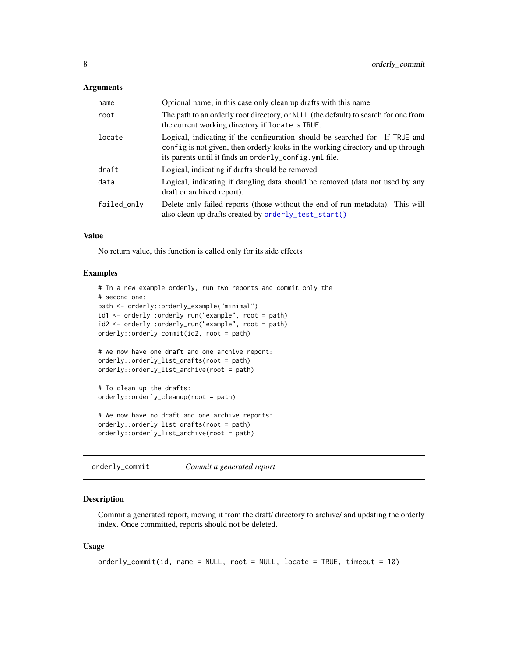#### <span id="page-7-0"></span>**Arguments**

| name        | Optional name; in this case only clean up drafts with this name                                                                                                                                                           |
|-------------|---------------------------------------------------------------------------------------------------------------------------------------------------------------------------------------------------------------------------|
| root        | The path to an orderly root directory, or NULL (the default) to search for one from<br>the current working directory if locate is TRUE.                                                                                   |
| locate      | Logical, indicating if the configuration should be searched for. If TRUE and<br>config is not given, then orderly looks in the working directory and up through<br>its parents until it finds an orderly_config.yml file. |
| draft       | Logical, indicating if drafts should be removed                                                                                                                                                                           |
| data        | Logical, indicating if dangling data should be removed (data not used by any<br>draft or archived report).                                                                                                                |
| failed_only | Delete only failed reports (those without the end-of-run metadata). This will<br>also clean up drafts created by orderly_test_start()                                                                                     |

## Value

No return value, this function is called only for its side effects

## Examples

```
# In a new example orderly, run two reports and commit only the
# second one:
path <- orderly::orderly_example("minimal")
id1 <- orderly::orderly_run("example", root = path)
id2 <- orderly::orderly_run("example", root = path)
orderly::orderly_commit(id2, root = path)
# We now have one draft and one archive report:
orderly::orderly_list_drafts(root = path)
orderly::orderly_list_archive(root = path)
# To clean up the drafts:
orderly::orderly_cleanup(root = path)
# We now have no draft and one archive reports:
orderly::orderly_list_drafts(root = path)
```
<span id="page-7-1"></span>orderly\_commit *Commit a generated report*

orderly::orderly\_list\_archive(root = path)

#### Description

Commit a generated report, moving it from the draft/ directory to archive/ and updating the orderly index. Once committed, reports should not be deleted.

#### Usage

```
orderly_commit(id, name = NULL, root = NULL, locate = TRUE, timeout = 10)
```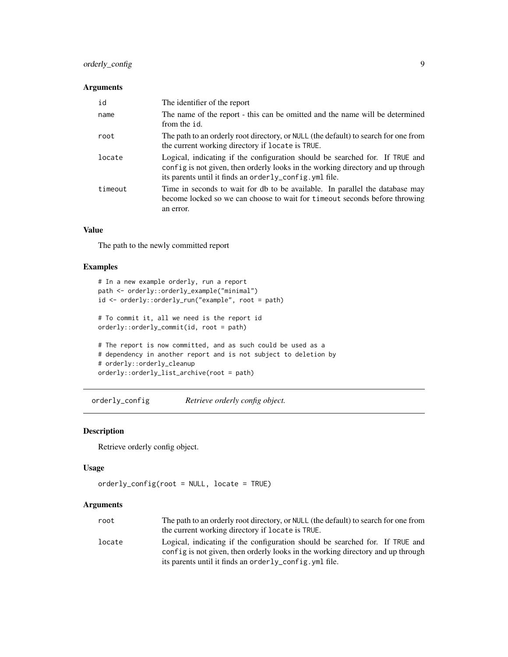## <span id="page-8-0"></span>orderly\_config 9

## Arguments

| id      | The identifier of the report                                                                                                                                                                                               |
|---------|----------------------------------------------------------------------------------------------------------------------------------------------------------------------------------------------------------------------------|
| name    | The name of the report - this can be omitted and the name will be determined<br>from the id.                                                                                                                               |
| root    | The path to an orderly root directory, or NULL (the default) to search for one from<br>the current working directory if locate is TRUE.                                                                                    |
| locate  | Logical, indicating if the configuration should be searched for. If TRUE and<br>config is not given, then orderly looks in the working directory and up through<br>its parents until it finds an orderly_config. yml file. |
| timeout | Time in seconds to wait for db to be available. In parallel the database may<br>become locked so we can choose to wait for timeout seconds before throwing<br>an error.                                                    |

#### Value

The path to the newly committed report

#### Examples

```
# In a new example orderly, run a report
path <- orderly::orderly_example("minimal")
id <- orderly::orderly_run("example", root = path)
# To commit it, all we need is the report id
orderly::orderly_commit(id, root = path)
# The report is now committed, and as such could be used as a
# dependency in another report and is not subject to deletion by
# orderly::orderly_cleanup
orderly::orderly_list_archive(root = path)
```
orderly\_config *Retrieve orderly config object.*

#### Description

Retrieve orderly config object.

## Usage

```
orderly_config(root = NULL, locate = TRUE)
```
#### Arguments

| root   | The path to an orderly root directory, or NULL (the default) to search for one from |
|--------|-------------------------------------------------------------------------------------|
|        | the current working directory if locate is TRUE.                                    |
| locate | Logical, indicating if the configuration should be searched for. If TRUE and        |
|        | config is not given, then orderly looks in the working directory and up through     |
|        | its parents until it finds an orderly_config.yml file.                              |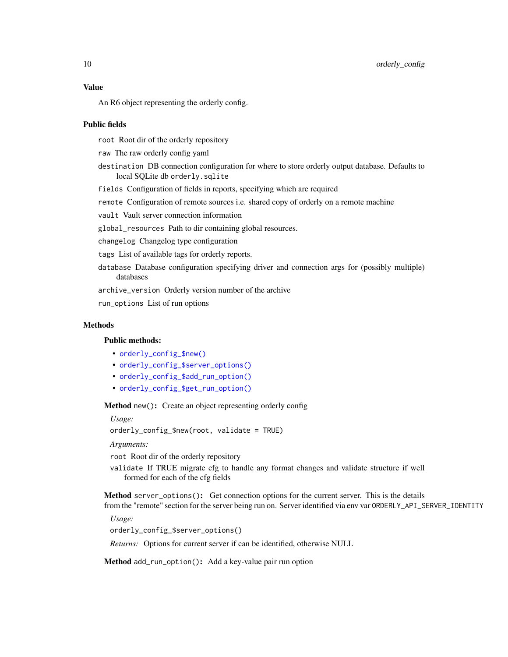## Value

An R6 object representing the orderly config.

#### Public fields

root Root dir of the orderly repository

raw The raw orderly config yaml

destination DB connection configuration for where to store orderly output database. Defaults to local SQLite db orderly.sqlite

fields Configuration of fields in reports, specifying which are required

remote Configuration of remote sources i.e. shared copy of orderly on a remote machine

vault Vault server connection information

global\_resources Path to dir containing global resources.

changelog Changelog type configuration

tags List of available tags for orderly reports.

database Database configuration specifying driver and connection args for (possibly multiple) databases

archive\_version Orderly version number of the archive

run\_options List of run options

## Methods

## Public methods:

- [orderly\\_config\\_\\$new\(\)](#page-9-0)
- [orderly\\_config\\_\\$server\\_options\(\)](#page-9-1)
- [orderly\\_config\\_\\$add\\_run\\_option\(\)](#page-9-2)
- [orderly\\_config\\_\\$get\\_run\\_option\(\)](#page-10-1)

<span id="page-9-0"></span>Method new(): Create an object representing orderly config

*Usage:*

orderly\_config\_\$new(root, validate = TRUE)

*Arguments:*

root Root dir of the orderly repository

validate If TRUE migrate cfg to handle any format changes and validate structure if well formed for each of the cfg fields

<span id="page-9-1"></span>Method server\_options(): Get connection options for the current server. This is the details from the "remote" section for the server being run on. Server identified via env var ORDERLY\_API\_SERVER\_IDENTITY

*Usage:*

orderly\_config\_\$server\_options()

*Returns:* Options for current server if can be identified, otherwise NULL

<span id="page-9-2"></span>Method add\_run\_option(): Add a key-value pair run option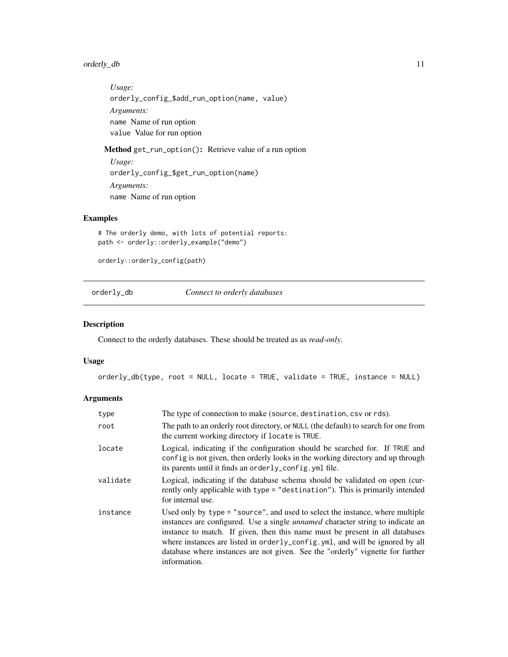## <span id="page-10-0"></span>orderly\_db 11

*Usage:* orderly\_config\_\$add\_run\_option(name, value) *Arguments:* name Name of run option value Value for run option

<span id="page-10-1"></span>Method get\_run\_option(): Retrieve value of a run option

*Usage:* orderly\_config\_\$get\_run\_option(name) *Arguments:* name Name of run option

## Examples

```
# The orderly demo, with lots of potential reports:
path <- orderly::orderly_example("demo")
```
orderly::orderly\_config(path)

<span id="page-10-2"></span>orderly\_db *Connect to orderly databases*

## Description

Connect to the orderly databases. These should be treated as as *read-only*.

#### Usage

```
orderly_db(type, root = NULL, locate = TRUE, validate = TRUE, instance = NULL)
```
## Arguments

| type     | The type of connection to make (source, destination, csv or rds).                                                                                                                                                                                                                                                                                                                                                                        |
|----------|------------------------------------------------------------------------------------------------------------------------------------------------------------------------------------------------------------------------------------------------------------------------------------------------------------------------------------------------------------------------------------------------------------------------------------------|
| root     | The path to an orderly root directory, or NULL (the default) to search for one from<br>the current working directory if locate is TRUE.                                                                                                                                                                                                                                                                                                  |
| locate   | Logical, indicating if the configuration should be searched for. If TRUE and<br>config is not given, then orderly looks in the working directory and up through<br>its parents until it finds an orderly_config.yml file.                                                                                                                                                                                                                |
| validate | Logical, indicating if the database schema should be validated on open (cur-<br>rently only applicable with type = "destination"). This is primarily intended<br>for internal use.                                                                                                                                                                                                                                                       |
| instance | Used only by type = "source", and used to select the instance, where multiple<br>instances are configured. Use a single <i>unnamed</i> character string to indicate an<br>instance to match. If given, then this name must be present in all databases<br>where instances are listed in orderly_config.yml, and will be ignored by all<br>database where instances are not given. See the "orderly" vignette for further<br>information. |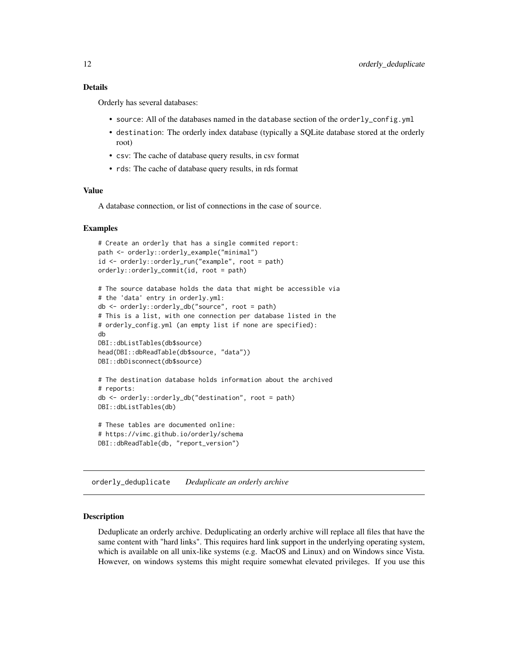## <span id="page-11-0"></span>Details

Orderly has several databases:

- source: All of the databases named in the database section of the orderly\_config.yml
- destination: The orderly index database (typically a SQLite database stored at the orderly root)
- csv: The cache of database query results, in csv format
- rds: The cache of database query results, in rds format

## Value

A database connection, or list of connections in the case of source.

#### Examples

```
# Create an orderly that has a single commited report:
path <- orderly::orderly_example("minimal")
id <- orderly::orderly_run("example", root = path)
orderly::orderly_commit(id, root = path)
# The source database holds the data that might be accessible via
# the 'data' entry in orderly.yml:
db <- orderly::orderly_db("source", root = path)
# This is a list, with one connection per database listed in the
# orderly_config.yml (an empty list if none are specified):
db
DBI::dbListTables(db$source)
head(DBI::dbReadTable(db$source, "data"))
DBI::dbDisconnect(db$source)
# The destination database holds information about the archived
# reports:
db <- orderly::orderly_db("destination", root = path)
DBI::dbListTables(db)
# These tables are documented online:
# https://vimc.github.io/orderly/schema
DBI::dbReadTable(db, "report_version")
```
orderly\_deduplicate *Deduplicate an orderly archive*

#### Description

Deduplicate an orderly archive. Deduplicating an orderly archive will replace all files that have the same content with "hard links". This requires hard link support in the underlying operating system, which is available on all unix-like systems (e.g. MacOS and Linux) and on Windows since Vista. However, on windows systems this might require somewhat elevated privileges. If you use this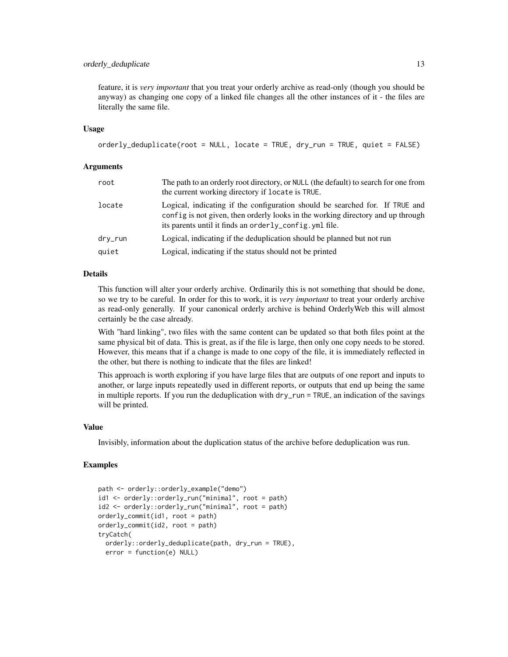#### orderly\_deduplicate 13

feature, it is *very important* that you treat your orderly archive as read-only (though you should be anyway) as changing one copy of a linked file changes all the other instances of it - the files are literally the same file.

#### Usage

```
orderly_deduplicate(root = NULL, locate = TRUE, dry_run = TRUE, quiet = FALSE)
```
#### Arguments

| root    | The path to an orderly root directory, or NULL (the default) to search for one from<br>the current working directory if locate is TRUE.                                                                                   |
|---------|---------------------------------------------------------------------------------------------------------------------------------------------------------------------------------------------------------------------------|
| locate  | Logical, indicating if the configuration should be searched for. If TRUE and<br>config is not given, then orderly looks in the working directory and up through<br>its parents until it finds an orderly_config.yml file. |
| dry_run | Logical, indicating if the deduplication should be planned but not run                                                                                                                                                    |
| quiet   | Logical, indicating if the status should not be printed                                                                                                                                                                   |

#### Details

This function will alter your orderly archive. Ordinarily this is not something that should be done, so we try to be careful. In order for this to work, it is *very important* to treat your orderly archive as read-only generally. If your canonical orderly archive is behind OrderlyWeb this will almost certainly be the case already.

With "hard linking", two files with the same content can be updated so that both files point at the same physical bit of data. This is great, as if the file is large, then only one copy needs to be stored. However, this means that if a change is made to one copy of the file, it is immediately reflected in the other, but there is nothing to indicate that the files are linked!

This approach is worth exploring if you have large files that are outputs of one report and inputs to another, or large inputs repeatedly used in different reports, or outputs that end up being the same in multiple reports. If you run the deduplication with dry\_run = TRUE, an indication of the savings will be printed.

#### Value

Invisibly, information about the duplication status of the archive before deduplication was run.

```
path <- orderly::orderly_example("demo")
id1 <- orderly::orderly_run("minimal", root = path)
id2 <- orderly::orderly_run("minimal", root = path)
orderly_commit(id1, root = path)
orderly_commit(id2, root = path)
tryCatch(
 orderly::orderly_deduplicate(path, dry_run = TRUE),
 error = function(e) NULL)
```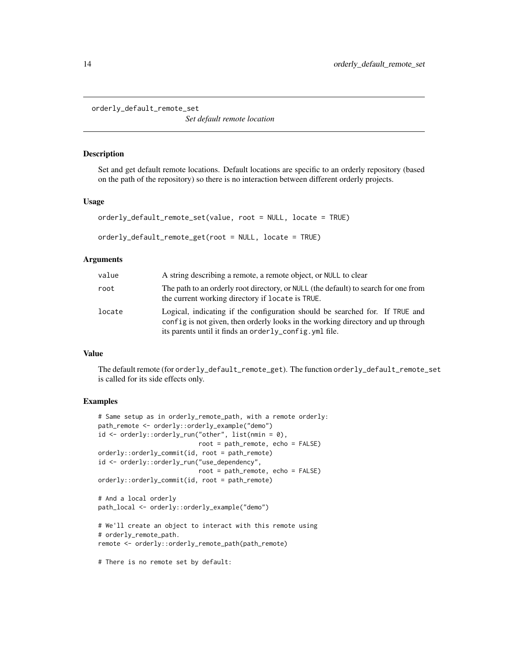<span id="page-13-0"></span>orderly\_default\_remote\_set

*Set default remote location*

#### Description

Set and get default remote locations. Default locations are specific to an orderly repository (based on the path of the repository) so there is no interaction between different orderly projects.

#### Usage

```
orderly_default_remote_set(value, root = NULL, locate = TRUE)
orderly_default_remote_get(root = NULL, locate = TRUE)
```
#### **Arguments**

| value  | A string describing a remote, a remote object, or NULL to clear                                                                                                                                                            |
|--------|----------------------------------------------------------------------------------------------------------------------------------------------------------------------------------------------------------------------------|
| root   | The path to an orderly root directory, or NULL (the default) to search for one from<br>the current working directory if locate is TRUE.                                                                                    |
| locate | Logical, indicating if the configuration should be searched for. If TRUE and<br>config is not given, then orderly looks in the working directory and up through<br>its parents until it finds an orderly_config. yml file. |

#### Value

The default remote (for orderly\_default\_remote\_get). The function orderly\_default\_remote\_set is called for its side effects only.

#### Examples

```
# Same setup as in orderly_remote_path, with a remote orderly:
path_remote <- orderly::orderly_example("demo")
id <- orderly::orderly_run("other", list(nmin = 0),
                           root = path_remote, echo = FALSE)
orderly::orderly_commit(id, root = path_remote)
id <- orderly::orderly_run("use_dependency",
                           root = path_remote, echo = FALSE)
orderly::orderly_commit(id, root = path_remote)
# And a local orderly
path_local <- orderly::orderly_example("demo")
# We'll create an object to interact with this remote using
# orderly_remote_path.
remote <- orderly::orderly_remote_path(path_remote)
```
# There is no remote set by default: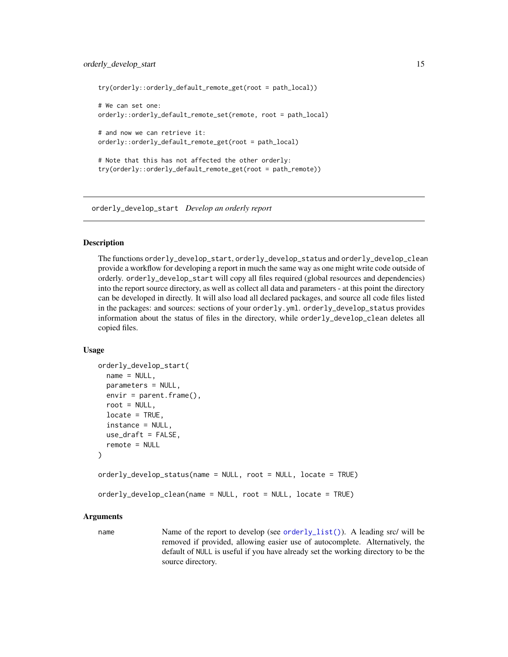```
try(orderly::orderly_default_remote_get(root = path_local))
# We can set one:
orderly::orderly_default_remote_set(remote, root = path_local)
# and now we can retrieve it:
orderly::orderly_default_remote_get(root = path_local)
# Note that this has not affected the other orderly:
try(orderly::orderly_default_remote_get(root = path_remote))
```
<span id="page-14-1"></span>orderly\_develop\_start *Develop an orderly report*

#### **Description**

The functions orderly\_develop\_start, orderly\_develop\_status and orderly\_develop\_clean provide a workflow for developing a report in much the same way as one might write code outside of orderly. orderly\_develop\_start will copy all files required (global resources and dependencies) into the report source directory, as well as collect all data and parameters - at this point the directory can be developed in directly. It will also load all declared packages, and source all code files listed in the packages: and sources: sections of your orderly.yml. orderly\_develop\_status provides information about the status of files in the directory, while orderly\_develop\_clean deletes all copied files.

#### Usage

```
orderly_develop_start(
  name = NULL,parameters = NULL,
  envir = parent.frame(),root = NULL,locate = TRUE,
  instance = NULL,
  use_draft = FALSE,
  remote = NULL
)
orderly_develop_status(name = NULL, root = NULL, locate = TRUE)
orderly_develop_clean(name = NULL, root = NULL, locate = TRUE)
```
#### Arguments

name Name of the report to develop (see [orderly\\_list\(\)](#page-23-1)). A leading src/ will be removed if provided, allowing easier use of autocomplete. Alternatively, the default of NULL is useful if you have already set the working directory to be the source directory.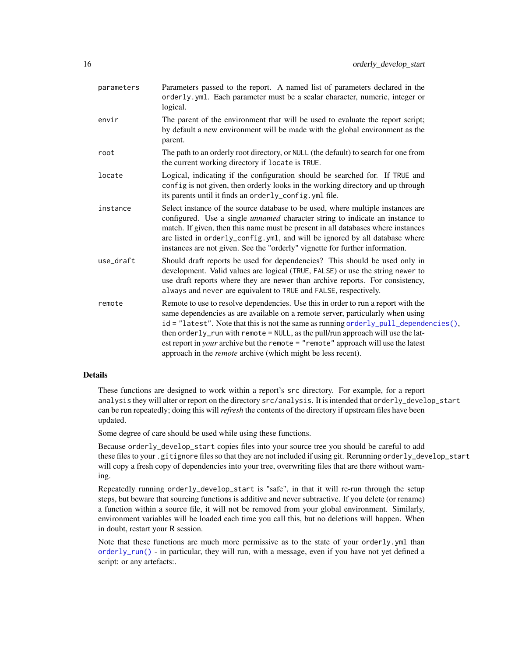<span id="page-15-0"></span>

| parameters | Parameters passed to the report. A named list of parameters declared in the<br>orderly.yml. Each parameter must be a scalar character, numeric, integer or<br>logical.                                                                                                                                                                                                                                                                                                                                               |
|------------|----------------------------------------------------------------------------------------------------------------------------------------------------------------------------------------------------------------------------------------------------------------------------------------------------------------------------------------------------------------------------------------------------------------------------------------------------------------------------------------------------------------------|
| envir      | The parent of the environment that will be used to evaluate the report script;<br>by default a new environment will be made with the global environment as the<br>parent.                                                                                                                                                                                                                                                                                                                                            |
| root       | The path to an orderly root directory, or NULL (the default) to search for one from<br>the current working directory if locate is TRUE.                                                                                                                                                                                                                                                                                                                                                                              |
| locate     | Logical, indicating if the configuration should be searched for. If TRUE and<br>config is not given, then orderly looks in the working directory and up through<br>its parents until it finds an orderly_config.yml file.                                                                                                                                                                                                                                                                                            |
| instance   | Select instance of the source database to be used, where multiple instances are<br>configured. Use a single <i>unnamed</i> character string to indicate an instance to<br>match. If given, then this name must be present in all databases where instances<br>are listed in orderly_config.yml, and will be ignored by all database where<br>instances are not given. See the "orderly" vignette for further information.                                                                                            |
| use_draft  | Should draft reports be used for dependencies? This should be used only in<br>development. Valid values are logical (TRUE, FALSE) or use the string newer to<br>use draft reports where they are newer than archive reports. For consistency,<br>always and never are equivalent to TRUE and FALSE, respectively.                                                                                                                                                                                                    |
| remote     | Remote to use to resolve dependencies. Use this in order to run a report with the<br>same dependencies as are available on a remote server, particularly when using<br>$id = "latest".$ Note that this is not the same as running orderly_pull_dependencies(),<br>then orderly_run with remote = NULL, as the pull/run approach will use the lat-<br>est report in <i>your</i> archive but the remote = "remote" approach will use the latest<br>approach in the <i>remote</i> archive (which might be less recent). |

## Details

These functions are designed to work within a report's src directory. For example, for a report analysis they will alter or report on the directory src/analysis. It is intended that orderly\_develop\_start can be run repeatedly; doing this will *refresh* the contents of the directory if upstream files have been updated.

Some degree of care should be used while using these functions.

Because orderly\_develop\_start copies files into your source tree you should be careful to add these files to your .gitignore files so that they are not included if using git. Rerunning orderly\_develop\_start will copy a fresh copy of dependencies into your tree, overwriting files that are there without warning.

Repeatedly running orderly\_develop\_start is "safe", in that it will re-run through the setup steps, but beware that sourcing functions is additive and never subtractive. If you delete (or rename) a function within a source file, it will not be removed from your global environment. Similarly, environment variables will be loaded each time you call this, but no deletions will happen. When in doubt, restart your R session.

Note that these functions are much more permissive as to the state of your orderly.yml than [orderly\\_run\(\)](#page-37-1) - in particular, they will run, with a message, even if you have not yet defined a script: or any artefacts:.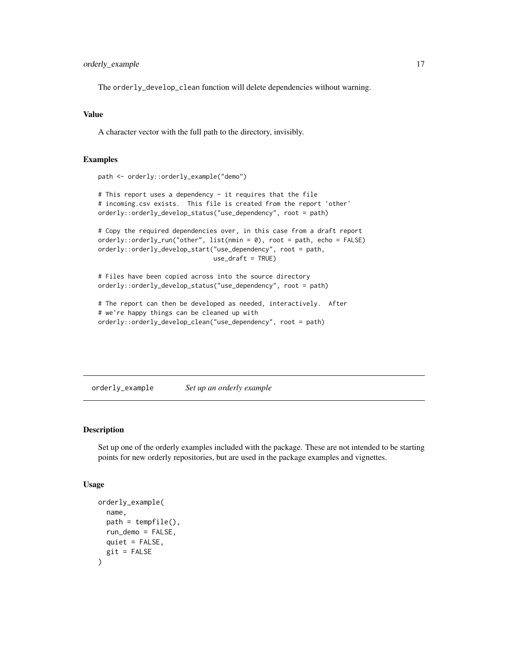## <span id="page-16-0"></span>orderly\_example 17

The orderly\_develop\_clean function will delete dependencies without warning.

## Value

A character vector with the full path to the directory, invisibly.

#### Examples

```
path <- orderly::orderly_example("demo")
```

```
# This report uses a dependency - it requires that the file
# incoming.csv exists. This file is created from the report 'other'
orderly::orderly_develop_status("use_dependency", root = path)
```

```
# Copy the required dependencies over, in this case from a draft report
orderly::orderly_run("other", list(nmin = 0), root = path, echo = FALSE)
orderly::orderly_develop_start("use_dependency", root = path,
                               use_draft = TRUE)
```
# Files have been copied across into the source directory orderly::orderly\_develop\_status("use\_dependency", root = path)

```
# The report can then be developed as needed, interactively. After
# we're happy things can be cleaned up with
orderly::orderly_develop_clean("use_dependency", root = path)
```
orderly\_example *Set up an orderly example*

## Description

Set up one of the orderly examples included with the package. These are not intended to be starting points for new orderly repositories, but are used in the package examples and vignettes.

#### Usage

```
orderly_example(
  name,
  path = tempfile(),run_demo = FALSE,
  quiet = FALSE,
  git = FALSE)
```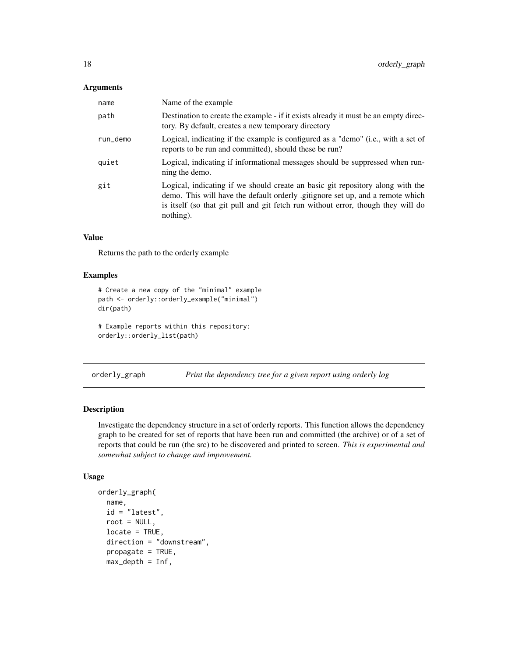## <span id="page-17-0"></span>Arguments

| name     | Name of the example                                                                                                                                                                                                                                              |
|----------|------------------------------------------------------------------------------------------------------------------------------------------------------------------------------------------------------------------------------------------------------------------|
| path     | Destination to create the example - if it exists already it must be an empty direc-<br>tory. By default, creates a new temporary directory                                                                                                                       |
| run_demo | Logical, indicating if the example is configured as a "demo" (i.e., with a set of<br>reports to be run and committed), should these be run?                                                                                                                      |
| quiet    | Logical, indicating if informational messages should be suppressed when run-<br>ning the demo.                                                                                                                                                                   |
| git      | Logical, indicating if we should create an basic git repository along with the<br>demo. This will have the default orderly gitignore set up, and a remote which<br>is itself (so that git pull and git fetch run without error, though they will do<br>nothing). |

## Value

Returns the path to the orderly example

## Examples

```
# Create a new copy of the "minimal" example
path <- orderly::orderly_example("minimal")
dir(path)
```
# Example reports within this repository: orderly::orderly\_list(path)

orderly\_graph *Print the dependency tree for a given report using orderly log*

## Description

Investigate the dependency structure in a set of orderly reports. This function allows the dependency graph to be created for set of reports that have been run and committed (the archive) or of a set of reports that could be run (the src) to be discovered and printed to screen. *This is experimental and somewhat subject to change and improvement.*

## Usage

```
orderly_graph(
  name,
  id = "latest",
  root = NULL,
  locate = TRUE,
  direction = "downstream",
  propagate = TRUE,
  max\_depth = Inf,
```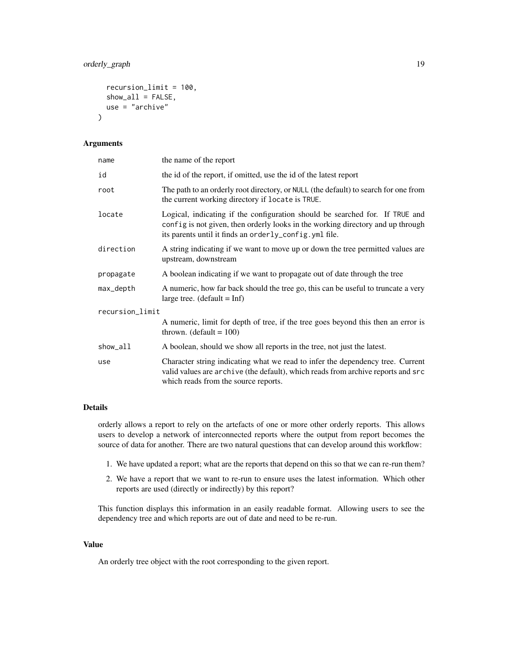```
recursion_limit = 100,
  show\_all = FALSE,use = "archive"
\lambda
```
#### Arguments

| name            | the name of the report                                                                                                                                                                                                    |
|-----------------|---------------------------------------------------------------------------------------------------------------------------------------------------------------------------------------------------------------------------|
| id              | the id of the report, if omitted, use the id of the latest report                                                                                                                                                         |
| root            | The path to an orderly root directory, or NULL (the default) to search for one from<br>the current working directory if locate is TRUE.                                                                                   |
| locate          | Logical, indicating if the configuration should be searched for. If TRUE and<br>config is not given, then orderly looks in the working directory and up through<br>its parents until it finds an orderly_config.yml file. |
| direction       | A string indicating if we want to move up or down the tree permitted values are<br>upstream, downstream                                                                                                                   |
| propagate       | A boolean indicating if we want to propagate out of date through the tree                                                                                                                                                 |
| max_depth       | A numeric, how far back should the tree go, this can be useful to truncate a very<br>large tree. $(detault = Inf)$                                                                                                        |
| recursion_limit |                                                                                                                                                                                                                           |
|                 | A numeric, limit for depth of tree, if the tree goes beyond this then an error is<br>thrown. (default $= 100$ )                                                                                                           |
| show_all        | A boolean, should we show all reports in the tree, not just the latest.                                                                                                                                                   |
| use             | Character string indicating what we read to infer the dependency tree. Current<br>valid values are archive (the default), which reads from archive reports and src<br>which reads from the source reports.                |

## Details

orderly allows a report to rely on the artefacts of one or more other orderly reports. This allows users to develop a network of interconnected reports where the output from report becomes the source of data for another. There are two natural questions that can develop around this workflow:

- 1. We have updated a report; what are the reports that depend on this so that we can re-run them?
- 2. We have a report that we want to re-run to ensure uses the latest information. Which other reports are used (directly or indirectly) by this report?

This function displays this information in an easily readable format. Allowing users to see the dependency tree and which reports are out of date and need to be re-run.

#### Value

An orderly tree object with the root corresponding to the given report.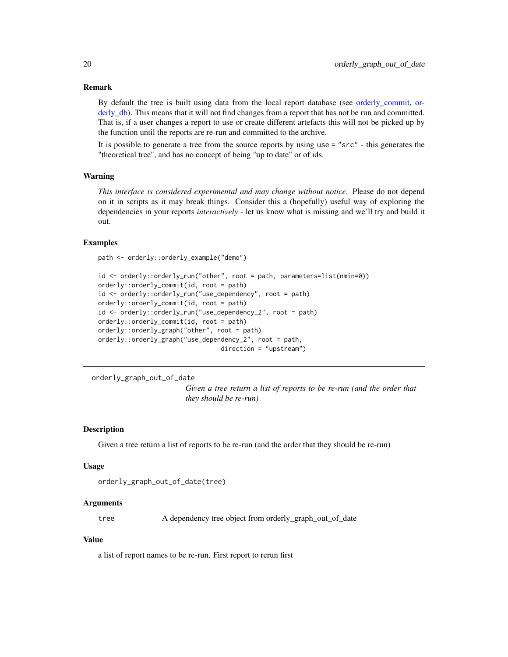#### Remark

By default the tree is built using data from the local report database (see orderly commit, [or](#page-10-2)[derly\\_db\)](#page-10-2). This means that it will not find changes from a report that has not be run and committed. That is, if a user changes a report to use or create different artefacts this will not be picked up by the function until the reports are re-run and committed to the archive.

It is possible to generate a tree from the source reports by using use = "src" - this generates the "theoretical tree", and has no concept of being "up to date" or of ids.

#### Warning

*This interface is considered experimental and may change without notice*. Please do not depend on it in scripts as it may break things. Consider this a (hopefully) useful way of exploring the dependencies in your reports *interactively* - let us know what is missing and we'll try and build it out.

#### Examples

```
path <- orderly::orderly_example("demo")
```

```
id <- orderly::orderly_run("other", root = path, parameters=list(nmin=0))
orderly::orderly_commit(id, root = path)
id <- orderly::orderly_run("use_dependency", root = path)
orderly::orderly_commit(id, root = path)
id <- orderly::orderly_run("use_dependency_2", root = path)
orderly::orderly_commit(id, root = path)
orderly::orderly_graph("other", root = path)
orderly::orderly_graph("use_dependency_2", root = path,
                                 direction = "upstream")
```
orderly\_graph\_out\_of\_date

*Given a tree return a list of reports to be re-run (and the order that they should be re-run)*

#### Description

Given a tree return a list of reports to be re-run (and the order that they should be re-run)

#### Usage

```
orderly_graph_out_of_date(tree)
```
#### Arguments

tree A dependency tree object from orderly\_graph\_out\_of\_date

#### Value

a list of report names to be re-run. First report to rerun first

<span id="page-19-0"></span>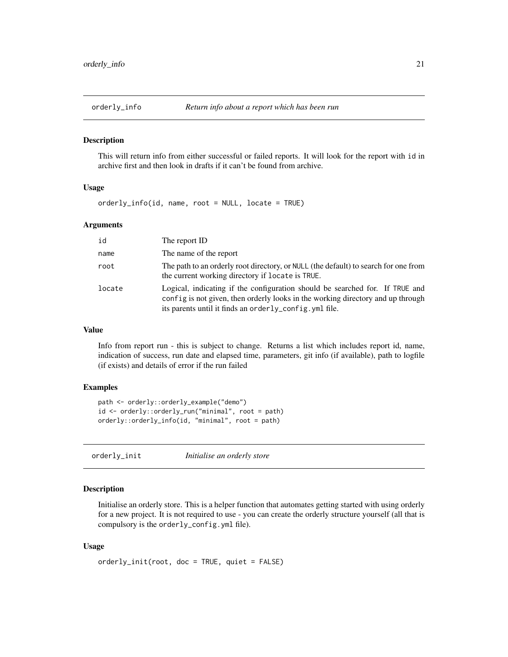<span id="page-20-0"></span>

#### Description

This will return info from either successful or failed reports. It will look for the report with id in archive first and then look in drafts if it can't be found from archive.

#### Usage

orderly\_info(id, name, root = NULL, locate = TRUE)

#### Arguments

| id     | The report ID                                                                                                                                                                                                              |
|--------|----------------------------------------------------------------------------------------------------------------------------------------------------------------------------------------------------------------------------|
| name   | The name of the report                                                                                                                                                                                                     |
| root   | The path to an orderly root directory, or NULL (the default) to search for one from<br>the current working directory if locate is TRUE.                                                                                    |
| locate | Logical, indicating if the configuration should be searched for. If TRUE and<br>config is not given, then orderly looks in the working directory and up through<br>its parents until it finds an orderly_config. yml file. |

#### Value

Info from report run - this is subject to change. Returns a list which includes report id, name, indication of success, run date and elapsed time, parameters, git info (if available), path to logfile (if exists) and details of error if the run failed

#### Examples

```
path <- orderly::orderly_example("demo")
id <- orderly::orderly_run("minimal", root = path)
orderly::orderly_info(id, "minimal", root = path)
```
<span id="page-20-1"></span>orderly\_init *Initialise an orderly store*

## Description

Initialise an orderly store. This is a helper function that automates getting started with using orderly for a new project. It is not required to use - you can create the orderly structure yourself (all that is compulsory is the orderly\_config.yml file).

#### Usage

```
orderly_init(root, doc = TRUE, quiet = FALSE)
```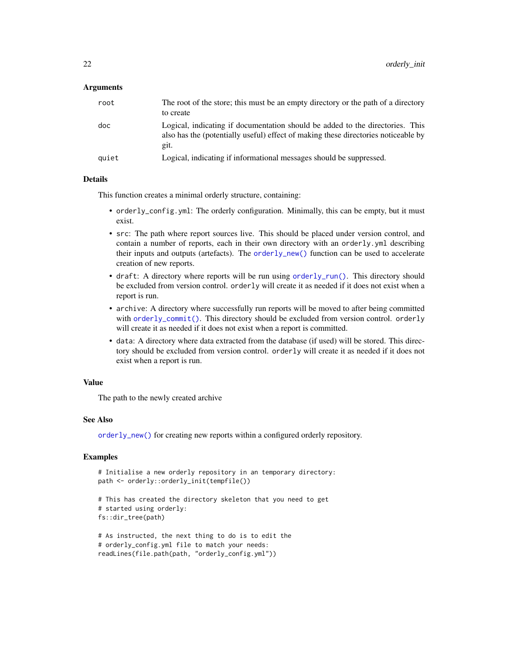#### <span id="page-21-0"></span>Arguments

| root  | The root of the store; this must be an empty directory or the path of a directory<br>to create                                                                              |
|-------|-----------------------------------------------------------------------------------------------------------------------------------------------------------------------------|
| doc   | Logical, indicating if documentation should be added to the directories. This<br>also has the (potentially useful) effect of making these directories noticeable by<br>git. |
| quiet | Logical, indicating if informational messages should be suppressed.                                                                                                         |

#### Details

This function creates a minimal orderly structure, containing:

- orderly\_config.yml: The orderly configuration. Minimally, this can be empty, but it must exist.
- src: The path where report sources live. This should be placed under version control, and contain a number of reports, each in their own directory with an orderly.yml describing their inputs and outputs (artefacts). The [orderly\\_new\(\)](#page-28-1) function can be used to accelerate creation of new reports.
- draft: A directory where reports will be run using [orderly\\_run\(\)](#page-37-1). This directory should be excluded from version control. orderly will create it as needed if it does not exist when a report is run.
- archive: A directory where successfully run reports will be moved to after being committed with [orderly\\_commit\(\)](#page-7-1). This directory should be excluded from version control. orderly will create it as needed if it does not exist when a report is committed.
- data: A directory where data extracted from the database (if used) will be stored. This directory should be excluded from version control. orderly will create it as needed if it does not exist when a report is run.

## Value

The path to the newly created archive

#### See Also

[orderly\\_new\(\)](#page-28-1) for creating new reports within a configured orderly repository.

```
# Initialise a new orderly repository in an temporary directory:
path <- orderly::orderly_init(tempfile())
```

```
# This has created the directory skeleton that you need to get
# started using orderly:
fs::dir_tree(path)
```

```
# As instructed, the next thing to do is to edit the
# orderly_config.yml file to match your needs:
readLines(file.path(path, "orderly_config.yml"))
```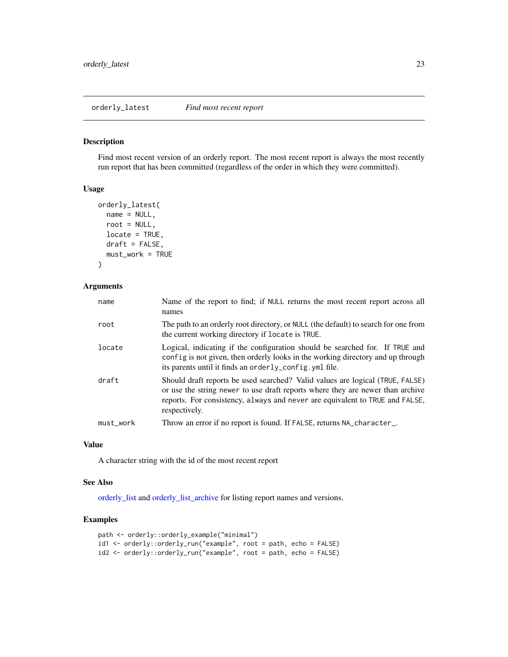<span id="page-22-1"></span><span id="page-22-0"></span>orderly\_latest *Find most recent report*

## Description

Find most recent version of an orderly report. The most recent report is always the most recently run report that has been committed (regardless of the order in which they were committed).

#### Usage

```
orderly_latest(
  name = NULL,root = NULL,
 locate = TRUE,
  draft = FALSE,
 must_work = TRUE
)
```
## Arguments

| name      | Name of the report to find; if NULL returns the most recent report across all<br>names                                                                                                                                                                           |
|-----------|------------------------------------------------------------------------------------------------------------------------------------------------------------------------------------------------------------------------------------------------------------------|
| root      | The path to an orderly root directory, or NULL (the default) to search for one from<br>the current working directory if locate is TRUE.                                                                                                                          |
| locate    | Logical, indicating if the configuration should be searched for. If TRUE and<br>config is not given, then orderly looks in the working directory and up through<br>its parents until it finds an orderly_config.yml file.                                        |
| draft     | Should draft reports be used searched? Valid values are logical (TRUE, FALSE)<br>or use the string newer to use draft reports where they are newer than archive<br>reports. For consistency, always and never are equivalent to TRUE and FALSE,<br>respectively. |
| must_work | Throw an error if no report is found. If FALSE, returns NA_character_.                                                                                                                                                                                           |

## Value

A character string with the id of the most recent report

#### See Also

[orderly\\_list](#page-23-1) and [orderly\\_list\\_archive](#page-24-1) for listing report names and versions.

```
path <- orderly::orderly_example("minimal")
id1 <- orderly::orderly_run("example", root = path, echo = FALSE)
id2 <- orderly::orderly_run("example", root = path, echo = FALSE)
```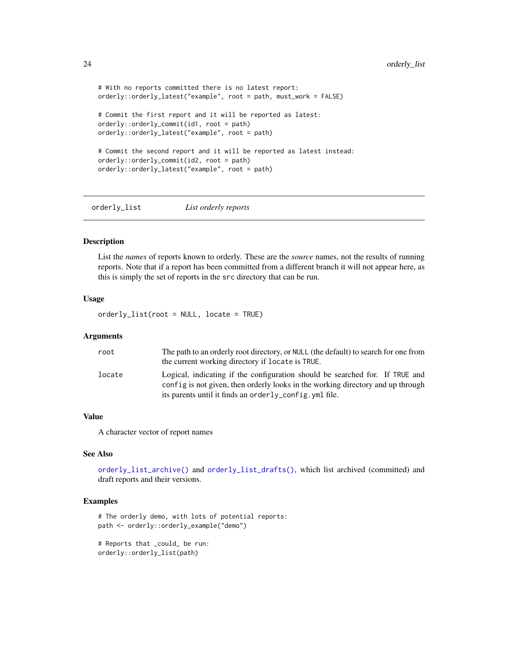```
# With no reports committed there is no latest report:
orderly::orderly_latest("example", root = path, must_work = FALSE)
# Commit the first report and it will be reported as latest:
orderly::orderly_commit(id1, root = path)
orderly::orderly_latest("example", root = path)
# Commit the second report and it will be reported as latest instead:
orderly::orderly_commit(id2, root = path)
orderly::orderly_latest("example", root = path)
```
<span id="page-23-1"></span>orderly\_list *List orderly reports*

## Description

List the *names* of reports known to orderly. These are the *source* names, not the results of running reports. Note that if a report has been committed from a different branch it will not appear here, as this is simply the set of reports in the src directory that can be run.

#### Usage

orderly\_list(root = NULL, locate = TRUE)

#### Arguments

| root   | The path to an orderly root directory, or NULL (the default) to search for one from                                                                             |
|--------|-----------------------------------------------------------------------------------------------------------------------------------------------------------------|
|        | the current working directory if locate is TRUE.                                                                                                                |
| locate | Logical, indicating if the configuration should be searched for. If TRUE and<br>config is not given, then orderly looks in the working directory and up through |
|        | its parents until it finds an order $l$ $v_{\rm}$ config. $v$ ml file.                                                                                          |

## Value

A character vector of report names

## See Also

[orderly\\_list\\_archive\(\)](#page-24-1) and [orderly\\_list\\_drafts\(\)](#page-24-2), which list archived (committed) and draft reports and their versions.

```
# The orderly demo, with lots of potential reports:
path <- orderly::orderly_example("demo")
```

```
# Reports that _could_ be run:
orderly::orderly_list(path)
```
<span id="page-23-0"></span>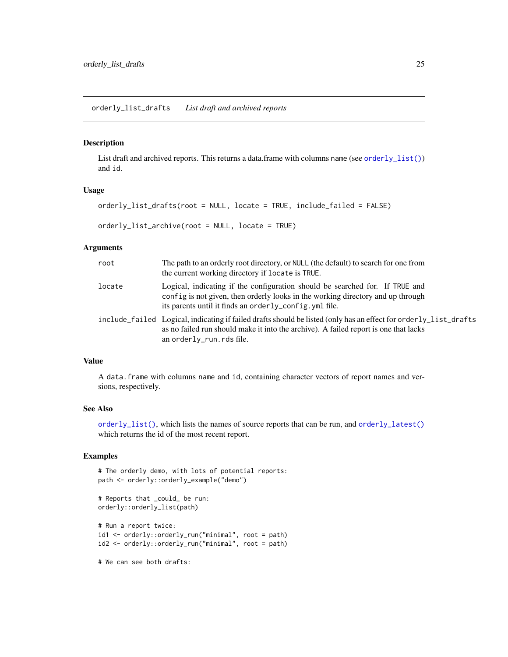## <span id="page-24-2"></span><span id="page-24-1"></span><span id="page-24-0"></span>Description

List draft and archived reports. This returns a data.frame with columns name (see [orderly\\_list\(\)](#page-23-1)) and id.

#### Usage

```
orderly_list_drafts(root = NULL, locate = TRUE, include_failed = FALSE)
```
orderly\_list\_archive(root = NULL, locate = TRUE)

#### Arguments

| root   | The path to an orderly root directory, or NULL (the default) to search for one from<br>the current working directory if locate is TRUE.                                                                                              |
|--------|--------------------------------------------------------------------------------------------------------------------------------------------------------------------------------------------------------------------------------------|
| locate | Logical, indicating if the configuration should be searched for. If TRUE and<br>config is not given, then orderly looks in the working directory and up through<br>its parents until it finds an orderly_config. yml file.           |
|        | include failed Logical, indicating if failed drafts should be listed (only has an effect for orderly list drafts<br>as no failed run should make it into the archive). A failed report is one that lacks<br>an orderly_run.rds file. |

#### Value

A data.frame with columns name and id, containing character vectors of report names and versions, respectively.

## See Also

[orderly\\_list\(\)](#page-23-1), which lists the names of source reports that can be run, and [orderly\\_latest\(\)](#page-22-1) which returns the id of the most recent report.

## Examples

```
# The orderly demo, with lots of potential reports:
path <- orderly::orderly_example("demo")
# Reports that _could_ be run:
```

```
orderly::orderly_list(path)
# Run a report twice:
id1 <- orderly::orderly_run("minimal", root = path)
id2 <- orderly::orderly_run("minimal", root = path)
```
# We can see both drafts: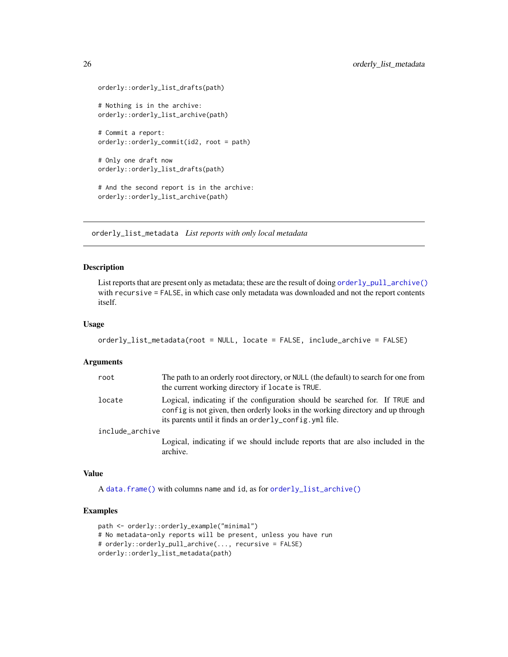```
orderly::orderly_list_drafts(path)
# Nothing is in the archive:
orderly::orderly_list_archive(path)
# Commit a report:
orderly::orderly_commit(id2, root = path)
# Only one draft now
orderly::orderly_list_drafts(path)
# And the second report is in the archive:
orderly::orderly_list_archive(path)
```
orderly\_list\_metadata *List reports with only local metadata*

#### Description

List reports that are present only as metadata; these are the result of doing [orderly\\_pull\\_archive\(\)](#page-30-2) with recursive = FALSE, in which case only metadata was downloaded and not the report contents itself.

## Usage

```
orderly_list_metadata(root = NULL, locate = FALSE, include_archive = FALSE)
```
#### Arguments

| root            | The path to an orderly root directory, or NULL (the default) to search for one from<br>the current working directory if locate is TRUE.                                                                                   |
|-----------------|---------------------------------------------------------------------------------------------------------------------------------------------------------------------------------------------------------------------------|
| locate          | Logical, indicating if the configuration should be searched for. If TRUE and<br>config is not given, then orderly looks in the working directory and up through<br>its parents until it finds an orderly_config.yml file. |
| include_archive |                                                                                                                                                                                                                           |
|                 | Logical, indicating if we should include reports that are also included in the<br>archive.                                                                                                                                |

#### Value

A [data.frame\(\)](#page-0-0) with columns name and id, as for [orderly\\_list\\_archive\(\)](#page-24-1)

```
path <- orderly::orderly_example("minimal")
# No metadata-only reports will be present, unless you have run
# orderly::orderly_pull_archive(..., recursive = FALSE)
orderly::orderly_list_metadata(path)
```
<span id="page-25-0"></span>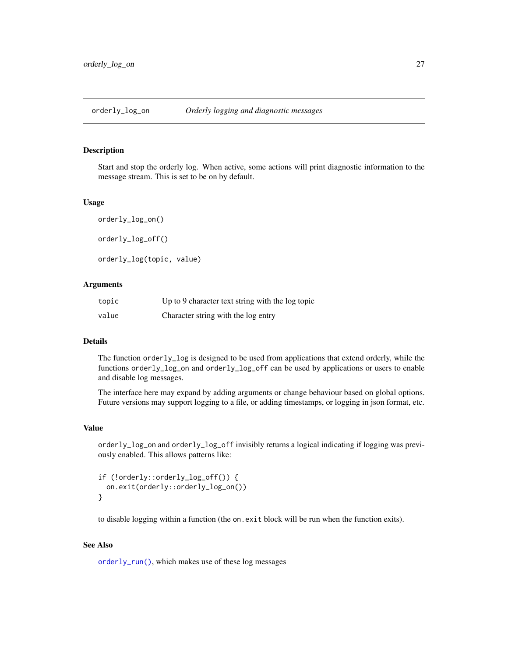<span id="page-26-0"></span>

## <span id="page-26-1"></span>Description

Start and stop the orderly log. When active, some actions will print diagnostic information to the message stream. This is set to be on by default.

#### Usage

orderly\_log\_on() orderly\_log\_off() orderly\_log(topic, value)

#### Arguments

| topic | Up to 9 character text string with the log topic |
|-------|--------------------------------------------------|
| value | Character string with the log entry              |

## Details

The function orderly\_log is designed to be used from applications that extend orderly, while the functions orderly\_log\_on and orderly\_log\_off can be used by applications or users to enable and disable log messages.

The interface here may expand by adding arguments or change behaviour based on global options. Future versions may support logging to a file, or adding timestamps, or logging in json format, etc.

#### Value

orderly\_log\_on and orderly\_log\_off invisibly returns a logical indicating if logging was previously enabled. This allows patterns like:

```
if (!orderly::orderly_log_off()) {
  on.exit(orderly::orderly_log_on())
}
```
to disable logging within a function (the on.exit block will be run when the function exits).

#### See Also

[orderly\\_run\(\)](#page-37-1), which makes use of these log messages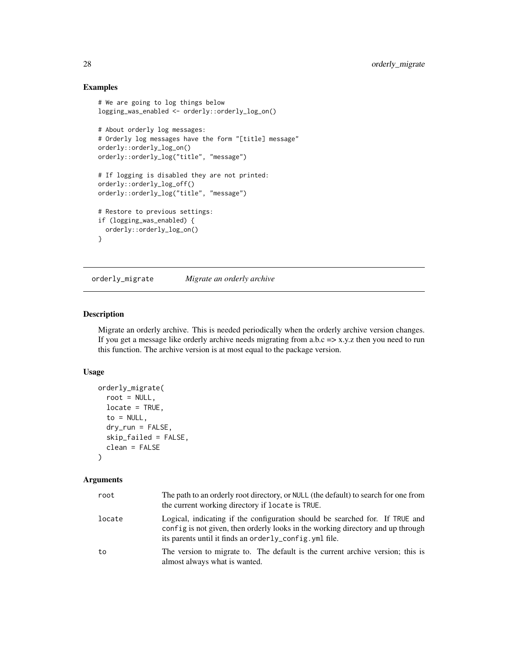## Examples

```
# We are going to log things below
logging_was_enabled <- orderly::orderly_log_on()
# About orderly log messages:
# Orderly log messages have the form "[title] message"
orderly::orderly_log_on()
orderly::orderly_log("title", "message")
# If logging is disabled they are not printed:
orderly::orderly_log_off()
orderly::orderly_log("title", "message")
# Restore to previous settings:
if (logging_was_enabled) {
  orderly::orderly_log_on()
}
```
<span id="page-27-1"></span>orderly\_migrate *Migrate an orderly archive*

## Description

Migrate an orderly archive. This is needed periodically when the orderly archive version changes. If you get a message like orderly archive needs migrating from a.b.c  $\Rightarrow$  x.y.z then you need to run this function. The archive version is at most equal to the package version.

## Usage

```
orderly_migrate(
  root = NULL,
 locate = TRUE,
  to = NULL,
  dry_run = FALSE,skip_failed = FALSE,
  clean = FALSE
\lambda
```
## Arguments

| root   | The path to an orderly root directory, or NULL (the default) to search for one from<br>the current working directory if locate is TRUE.                                                                                                 |
|--------|-----------------------------------------------------------------------------------------------------------------------------------------------------------------------------------------------------------------------------------------|
| locate | Logical, indicating if the configuration should be searched for. If TRUE and<br>config is not given, then orderly looks in the working directory and up through<br>its parents until it finds an order $l_{\text{V}}$ config. yml file. |
| to     | The version to migrate to. The default is the current archive version; this is<br>almost always what is wanted.                                                                                                                         |

<span id="page-27-0"></span>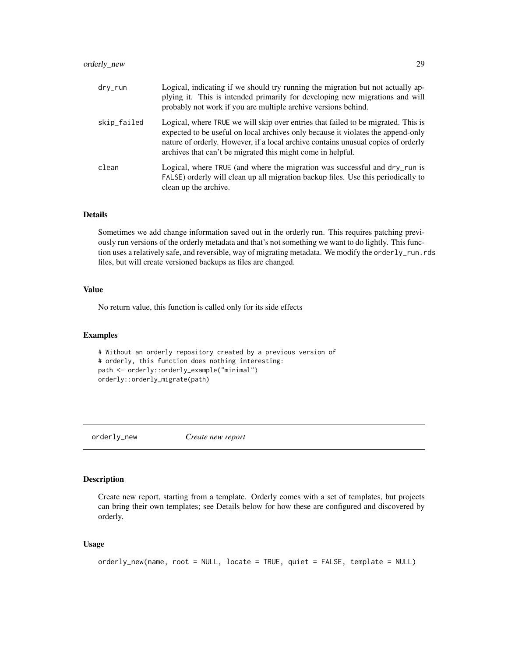## <span id="page-28-0"></span>orderly\_new 29

| dry_run     | Logical, indicating if we should try running the migration but not actually ap-<br>plying it. This is intended primarily for developing new migrations and will<br>probably not work if you are multiple archive versions behind.                                                                                         |
|-------------|---------------------------------------------------------------------------------------------------------------------------------------------------------------------------------------------------------------------------------------------------------------------------------------------------------------------------|
| skip_failed | Logical, where TRUE we will skip over entries that failed to be migrated. This is<br>expected to be useful on local archives only because it violates the append-only<br>nature of orderly. However, if a local archive contains unusual copies of orderly<br>archives that can't be migrated this might come in helpful. |
| clean       | Logical, where TRUE (and where the migration was successful and dry_run is<br>FALSE) orderly will clean up all migration backup files. Use this periodically to<br>clean up the archive.                                                                                                                                  |

## Details

Sometimes we add change information saved out in the orderly run. This requires patching previously run versions of the orderly metadata and that's not something we want to do lightly. This function uses a relatively safe, and reversible, way of migrating metadata. We modify the orderly\_run.rds files, but will create versioned backups as files are changed.

## Value

No return value, this function is called only for its side effects

#### Examples

```
# Without an orderly repository created by a previous version of
# orderly, this function does nothing interesting:
path <- orderly::orderly_example("minimal")
orderly::orderly_migrate(path)
```
<span id="page-28-1"></span>orderly\_new *Create new report*

## Description

Create new report, starting from a template. Orderly comes with a set of templates, but projects can bring their own templates; see Details below for how these are configured and discovered by orderly.

#### Usage

```
orderly_new(name, root = NULL, locate = TRUE, quiet = FALSE, template = NULL)
```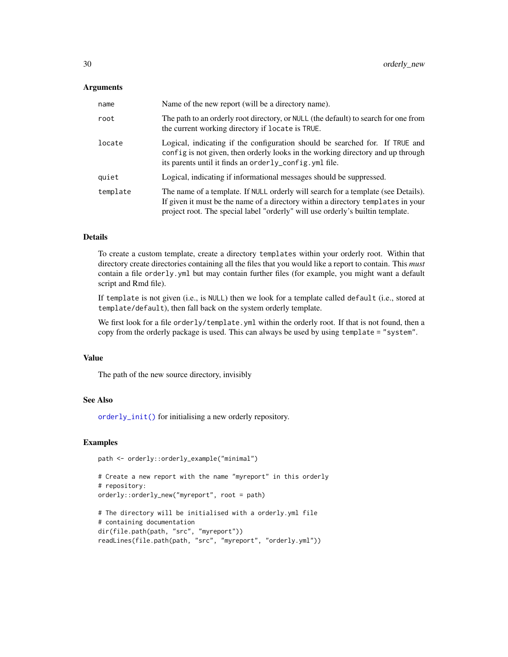#### <span id="page-29-0"></span>**Arguments**

| name     | Name of the new report (will be a directory name).                                                                                                                                                                                                      |
|----------|---------------------------------------------------------------------------------------------------------------------------------------------------------------------------------------------------------------------------------------------------------|
| root     | The path to an orderly root directory, or NULL (the default) to search for one from<br>the current working directory if locate is TRUE.                                                                                                                 |
| locate   | Logical, indicating if the configuration should be searched for. If TRUE and<br>config is not given, then orderly looks in the working directory and up through<br>its parents until it finds an orderly_config. yml file.                              |
| quiet    | Logical, indicating if informational messages should be suppressed.                                                                                                                                                                                     |
| template | The name of a template. If NULL orderly will search for a template (see Details).<br>If given it must be the name of a directory within a directory templates in your<br>project root. The special label "orderly" will use orderly's builtin template. |

## Details

To create a custom template, create a directory templates within your orderly root. Within that directory create directories containing all the files that you would like a report to contain. This *must* contain a file orderly.yml but may contain further files (for example, you might want a default script and Rmd file).

If template is not given (i.e., is NULL) then we look for a template called default (i.e., stored at template/default), then fall back on the system orderly template.

We first look for a file orderly/template.yml within the orderly root. If that is not found, then a copy from the orderly package is used. This can always be used by using template = "system".

## Value

The path of the new source directory, invisibly

## See Also

[orderly\\_init\(\)](#page-20-1) for initialising a new orderly repository.

```
path <- orderly::orderly_example("minimal")
```

```
# Create a new report with the name "myreport" in this orderly
# repository:
orderly::orderly_new("myreport", root = path)
```

```
# The directory will be initialised with a orderly.yml file
# containing documentation
dir(file.path(path, "src", "myreport"))
readLines(file.path(path, "src", "myreport", "orderly.yml"))
```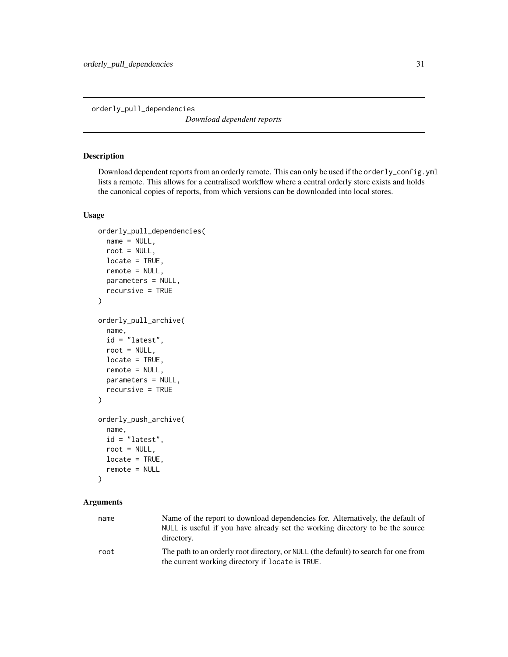<span id="page-30-1"></span><span id="page-30-0"></span>orderly\_pull\_dependencies

*Download dependent reports*

## <span id="page-30-2"></span>Description

Download dependent reports from an orderly remote. This can only be used if the orderly\_config.yml lists a remote. This allows for a centralised workflow where a central orderly store exists and holds the canonical copies of reports, from which versions can be downloaded into local stores.

## Usage

```
orderly_pull_dependencies(
  name = NULL,root = NULL,
  locate = TRUE,
  remote = NULL,
 parameters = NULL,
  recursive = TRUE
\mathcal{L}orderly_pull_archive(
  name,
  id = "latest",
  root = NULL,locate = TRUE,
  remote = NULL,parameters = NULL,
  recursive = TRUE
)
orderly_push_archive(
  name,
  id = "latest",
  root = NULL,
  locate = TRUE,
  remote = NULL
)
```
## Arguments

| name | Name of the report to download dependencies for. Alternatively, the default of<br>NULL is useful if you have already set the working directory to be the source<br>directory. |
|------|-------------------------------------------------------------------------------------------------------------------------------------------------------------------------------|
| root | The path to an orderly root directory, or NULL (the default) to search for one from<br>the current working directory if locate is TRUE.                                       |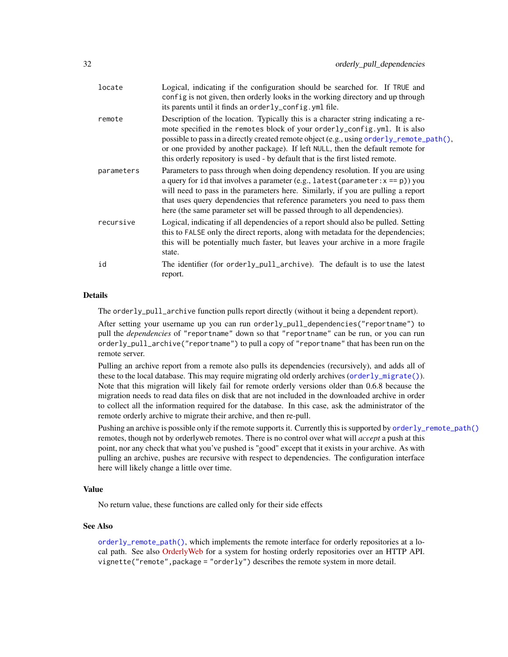<span id="page-31-0"></span>

| locate     | Logical, indicating if the configuration should be searched for. If TRUE and<br>config is not given, then orderly looks in the working directory and up through<br>its parents until it finds an orderly_config.yml file.                                                                                                                                                                                                        |
|------------|----------------------------------------------------------------------------------------------------------------------------------------------------------------------------------------------------------------------------------------------------------------------------------------------------------------------------------------------------------------------------------------------------------------------------------|
| remote     | Description of the location. Typically this is a character string indicating a re-<br>mote specified in the remotes block of your orderly_config.yml. It is also<br>possible to pass in a directly created remote object (e.g., using order ly_remote_path(),<br>or one provided by another package). If left NULL, then the default remote for<br>this orderly repository is used - by default that is the first listed remote. |
| parameters | Parameters to pass through when doing dependency resolution. If you are using<br>a query for id that involves a parameter (e.g., latest (parameter: $x == p$ ) you<br>will need to pass in the parameters here. Similarly, if you are pulling a report<br>that uses query dependencies that reference parameters you need to pass them<br>here (the same parameter set will be passed through to all dependencies).              |
| recursive  | Logical, indicating if all dependencies of a report should also be pulled. Setting<br>this to FALSE only the direct reports, along with metadata for the dependencies;<br>this will be potentially much faster, but leaves your archive in a more fragile<br>state.                                                                                                                                                              |
| id         | The identifier (for orderly_pull_archive). The default is to use the latest<br>report.                                                                                                                                                                                                                                                                                                                                           |

#### Details

The orderly\_pull\_archive function pulls report directly (without it being a dependent report).

After setting your username up you can run orderly\_pull\_dependencies("reportname") to pull the *dependencies* of "reportname" down so that "reportname" can be run, or you can run orderly\_pull\_archive("reportname") to pull a copy of "reportname" that has been run on the remote server.

Pulling an archive report from a remote also pulls its dependencies (recursively), and adds all of these to the local database. This may require migrating old orderly archives ([orderly\\_migrate\(\)](#page-27-1)). Note that this migration will likely fail for remote orderly versions older than 0.6.8 because the migration needs to read data files on disk that are not included in the downloaded archive in order to collect all the information required for the database. In this case, ask the administrator of the remote orderly archive to migrate their archive, and then re-pull.

Pushing an archive is possible only if the remote supports it. Currently this is supported by [orderly\\_remote\\_path\(\)](#page-35-1) remotes, though not by orderlyweb remotes. There is no control over what will *accept* a push at this point, nor any check that what you've pushed is "good" except that it exists in your archive. As with pulling an archive, pushes are recursive with respect to dependencies. The configuration interface here will likely change a little over time.

## Value

No return value, these functions are called only for their side effects

#### See Also

[orderly\\_remote\\_path\(\)](#page-35-1), which implements the remote interface for orderly repositories at a local path. See also [OrderlyWeb](https://github.com/vimc/orderly-web) for a system for hosting orderly repositories over an HTTP API. vignette("remote",package = "orderly") describes the remote system in more detail.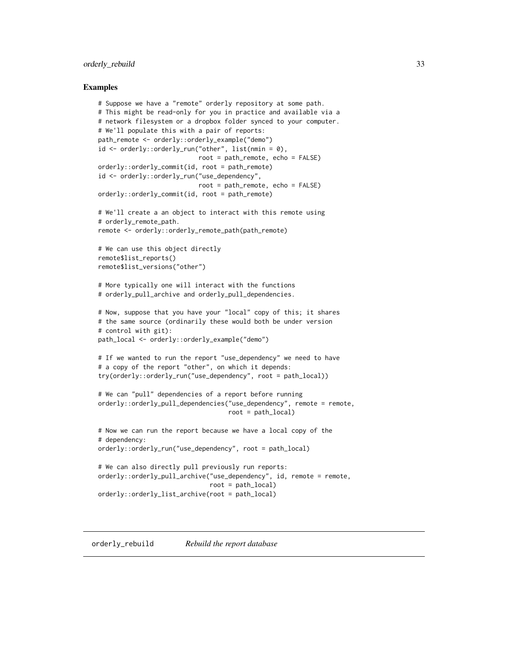## <span id="page-32-0"></span>orderly\_rebuild 33

#### Examples

```
# Suppose we have a "remote" orderly repository at some path.
# This might be read-only for you in practice and available via a
# network filesystem or a dropbox folder synced to your computer.
# We'll populate this with a pair of reports:
path_remote <- orderly::orderly_example("demo")
id <- orderly::orderly_run("other", list(nmin = 0),
                           root = path_remote, echo = FALSE)
orderly::orderly_commit(id, root = path_remote)
id <- orderly::orderly_run("use_dependency",
                           root = path_remote, echo = FALSE)
orderly::orderly_commit(id, root = path_remote)
# We'll create a an object to interact with this remote using
# orderly_remote_path.
remote <- orderly::orderly_remote_path(path_remote)
# We can use this object directly
remote$list_reports()
remote$list_versions("other")
# More typically one will interact with the functions
# orderly_pull_archive and orderly_pull_dependencies.
# Now, suppose that you have your "local" copy of this; it shares
# the same source (ordinarily these would both be under version
# control with git):
path_local <- orderly::orderly_example("demo")
# If we wanted to run the report "use_dependency" we need to have
# a copy of the report "other", on which it depends:
try(orderly::orderly_run("use_dependency", root = path_local))
# We can "pull" dependencies of a report before running
orderly::orderly_pull_dependencies("use_dependency", remote = remote,
                                   root = path_local)
# Now we can run the report because we have a local copy of the
# dependency:
orderly::orderly_run("use_dependency", root = path_local)
# We can also directly pull previously run reports:
orderly::orderly_pull_archive("use_dependency", id, remote = remote,
                              root = path_local)
orderly::orderly_list_archive(root = path_local)
```
#### orderly\_rebuild *Rebuild the report database*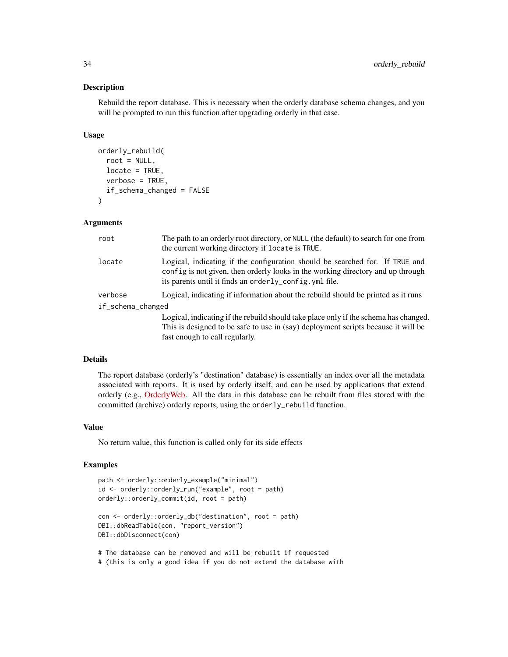#### Description

Rebuild the report database. This is necessary when the orderly database schema changes, and you will be prompted to run this function after upgrading orderly in that case.

## Usage

```
orderly_rebuild(
  root = NULL,
  locate = TRUE,
  verbose = TRUE,
  if_schema_changed = FALSE
\mathcal{L}
```
#### Arguments

| root              | The path to an orderly root directory, or NULL (the default) to search for one from<br>the current working directory if locate is TRUE.                                                                                   |
|-------------------|---------------------------------------------------------------------------------------------------------------------------------------------------------------------------------------------------------------------------|
| locate            | Logical, indicating if the configuration should be searched for. If TRUE and<br>config is not given, then orderly looks in the working directory and up through<br>its parents until it finds an orderly_config.yml file. |
| verbose           | Logical, indicating if information about the rebuild should be printed as it runs                                                                                                                                         |
| if_schema_changed |                                                                                                                                                                                                                           |
|                   | Logical, indicating if the rebuild should take place only if the schema has changed.<br>This is designed to be safe to use in (say) deployment scripts because it will be                                                 |

#### Details

The report database (orderly's "destination" database) is essentially an index over all the metadata associated with reports. It is used by orderly itself, and can be used by applications that extend orderly (e.g., [OrderlyWeb.](https://github.com/vimc/orderly-web) All the data in this database can be rebuilt from files stored with the committed (archive) orderly reports, using the orderly\_rebuild function.

#### Value

No return value, this function is called only for its side effects

fast enough to call regularly.

```
path <- orderly::orderly_example("minimal")
id <- orderly::orderly_run("example", root = path)
orderly::orderly_commit(id, root = path)
con <- orderly::orderly_db("destination", root = path)
DBI::dbReadTable(con, "report_version")
```

```
DBI::dbDisconnect(con)
# The database can be removed and will be rebuilt if requested
```

```
# (this is only a good idea if you do not extend the database with
```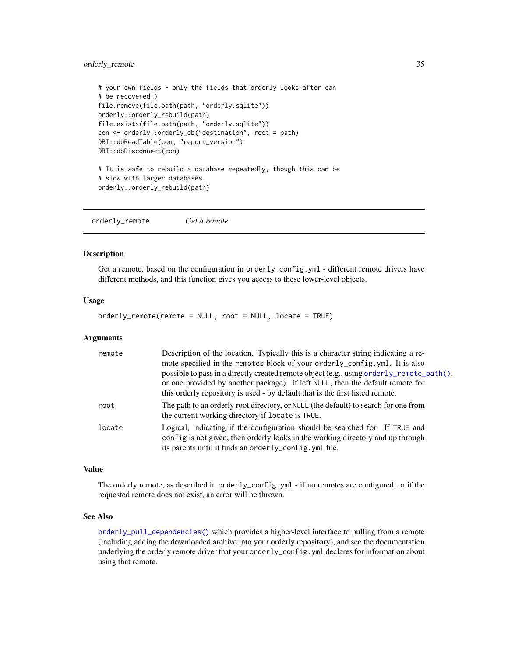## <span id="page-34-0"></span>orderly\_remote 35

```
# your own fields - only the fields that orderly looks after can
# be recovered!)
file.remove(file.path(path, "orderly.sqlite"))
orderly::orderly_rebuild(path)
file.exists(file.path(path, "orderly.sqlite"))
con <- orderly::orderly_db("destination", root = path)
DBI::dbReadTable(con, "report_version")
DBI::dbDisconnect(con)
# It is safe to rebuild a database repeatedly, though this can be
# slow with larger databases.
orderly::orderly_rebuild(path)
```
orderly\_remote *Get a remote*

#### **Description**

Get a remote, based on the configuration in orderly\_config.yml - different remote drivers have different methods, and this function gives you access to these lower-level objects.

## Usage

orderly\_remote(remote = NULL, root = NULL, locate = TRUE)

#### Arguments

| remote | Description of the location. Typically this is a character string indicating a re-                                                                                                                                                                           |
|--------|--------------------------------------------------------------------------------------------------------------------------------------------------------------------------------------------------------------------------------------------------------------|
|        | mote specified in the remotes block of your orderly_config.yml. It is also                                                                                                                                                                                   |
|        | possible to pass in a directly created remote object (e.g., using order ly_remote_path(),<br>or one provided by another package). If left NULL, then the default remote for<br>this orderly repository is used - by default that is the first listed remote. |
| root   | The path to an orderly root directory, or NULL (the default) to search for one from<br>the current working directory if locate is TRUE.                                                                                                                      |
| locate | Logical, indicating if the configuration should be searched for. If TRUE and<br>config is not given, then orderly looks in the working directory and up through<br>its parents until it finds an orderly_config. yml file.                                   |

## Value

The orderly remote, as described in orderly\_config.yml - if no remotes are configured, or if the requested remote does not exist, an error will be thrown.

## See Also

[orderly\\_pull\\_dependencies\(\)](#page-30-1) which provides a higher-level interface to pulling from a remote (including adding the downloaded archive into your orderly repository), and see the documentation underlying the orderly remote driver that your orderly\_config.yml declares for information about using that remote.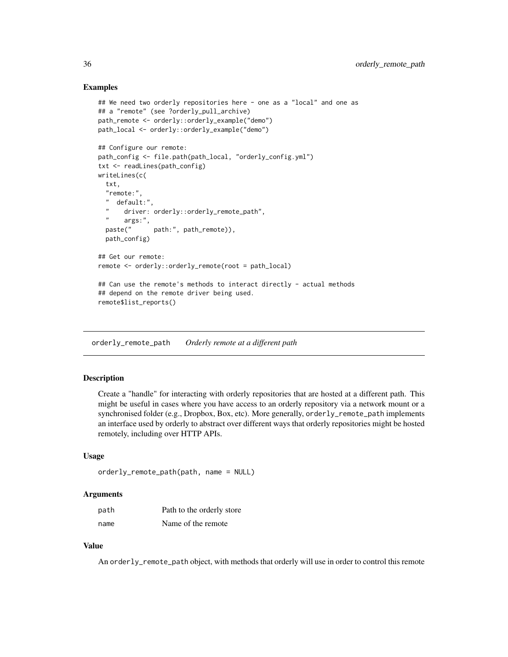## Examples

```
## We need two orderly repositories here - one as a "local" and one as
## a "remote" (see ?orderly_pull_archive)
path_remote <- orderly::orderly_example("demo")
path_local <- orderly::orderly_example("demo")
## Configure our remote:
path_config <- file.path(path_local, "orderly_config.yml")
txt <- readLines(path_config)
writeLines(c(
 txt,
  "remote:",
  " default:",
      driver: orderly::orderly_remote_path",
      args:",
 paste(" path:", path_remote)),
 path_config)
## Get our remote:
remote <- orderly::orderly_remote(root = path_local)
## Can use the remote's methods to interact directly - actual methods
## depend on the remote driver being used.
remote$list_reports()
```
<span id="page-35-1"></span>orderly\_remote\_path *Orderly remote at a different path*

#### Description

Create a "handle" for interacting with orderly repositories that are hosted at a different path. This might be useful in cases where you have access to an orderly repository via a network mount or a synchronised folder (e.g., Dropbox, Box, etc). More generally, orderly\_remote\_path implements an interface used by orderly to abstract over different ways that orderly repositories might be hosted remotely, including over HTTP APIs.

## Usage

```
orderly_remote_path(path, name = NULL)
```
#### Arguments

| path | Path to the orderly store |
|------|---------------------------|
| name | Name of the remote        |

## Value

An orderly\_remote\_path object, with methods that orderly will use in order to control this remote

<span id="page-35-0"></span>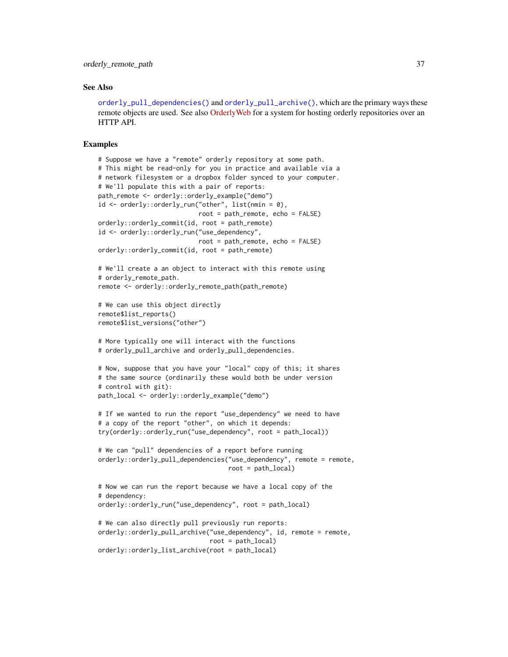#### <span id="page-36-0"></span>See Also

[orderly\\_pull\\_dependencies\(\)](#page-30-1) and [orderly\\_pull\\_archive\(\)](#page-30-2), which are the primary ways these remote objects are used. See also [OrderlyWeb](https://github.com/vimc/orderly-web) for a system for hosting orderly repositories over an HTTP API.

```
# Suppose we have a "remote" orderly repository at some path.
# This might be read-only for you in practice and available via a
# network filesystem or a dropbox folder synced to your computer.
# We'll populate this with a pair of reports:
path_remote <- orderly::orderly_example("demo")
id <- orderly::orderly_run("other", list(nmin = 0),
                           root = path_remote, echo = FALSE)
orderly::orderly_commit(id, root = path_remote)
id <- orderly::orderly_run("use_dependency",
                           root = path_remote, echo = FALSE)
orderly::orderly_commit(id, root = path_remote)
# We'll create a an object to interact with this remote using
# orderly_remote_path.
remote <- orderly::orderly_remote_path(path_remote)
# We can use this object directly
remote$list_reports()
remote$list_versions("other")
# More typically one will interact with the functions
# orderly_pull_archive and orderly_pull_dependencies.
# Now, suppose that you have your "local" copy of this; it shares
# the same source (ordinarily these would both be under version
# control with git):
path_local <- orderly::orderly_example("demo")
# If we wanted to run the report "use_dependency" we need to have
# a copy of the report "other", on which it depends:
try(orderly::orderly_run("use_dependency", root = path_local))
# We can "pull" dependencies of a report before running
orderly::orderly_pull_dependencies("use_dependency", remote = remote,
                                   root = path_local)
# Now we can run the report because we have a local copy of the
# dependency:
orderly::orderly_run("use_dependency", root = path_local)
# We can also directly pull previously run reports:
orderly::orderly_pull_archive("use_dependency", id, remote = remote,
                              root = path_local)
orderly::orderly_list_archive(root = path_local)
```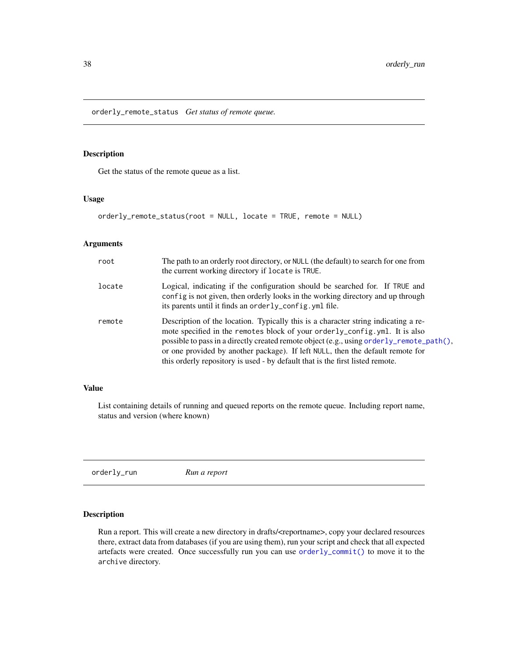<span id="page-37-0"></span>orderly\_remote\_status *Get status of remote queue.*

## Description

Get the status of the remote queue as a list.

#### Usage

orderly\_remote\_status(root = NULL, locate = TRUE, remote = NULL)

## Arguments

| root   | The path to an orderly root directory, or NULL (the default) to search for one from<br>the current working directory if locate is TRUE.                                                                                                                                                                                                                                                                                         |
|--------|---------------------------------------------------------------------------------------------------------------------------------------------------------------------------------------------------------------------------------------------------------------------------------------------------------------------------------------------------------------------------------------------------------------------------------|
| locate | Logical, indicating if the configuration should be searched for. If TRUE and<br>config is not given, then orderly looks in the working directory and up through<br>its parents until it finds an orderly_config. yml file.                                                                                                                                                                                                      |
| remote | Description of the location. Typically this is a character string indicating a re-<br>mote specified in the remotes block of your orderly_config.yml. It is also<br>possible to pass in a directly created remote object (e.g., using orderly_remote_path(),<br>or one provided by another package). If left NULL, then the default remote for<br>this orderly repository is used - by default that is the first listed remote. |

## Value

List containing details of running and queued reports on the remote queue. Including report name, status and version (where known)

<span id="page-37-1"></span>orderly\_run *Run a report*

## Description

Run a report. This will create a new directory in drafts/<reportname>, copy your declared resources there, extract data from databases (if you are using them), run your script and check that all expected artefacts were created. Once successfully run you can use [orderly\\_commit\(\)](#page-7-1) to move it to the archive directory.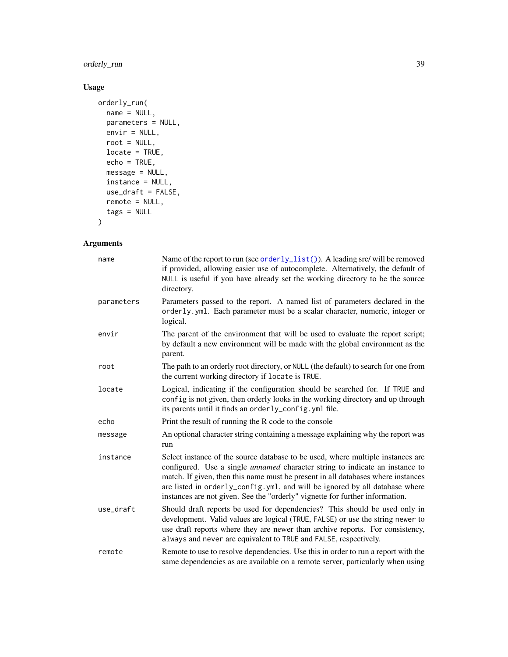<span id="page-38-0"></span>orderly\_run 39

## Usage

```
orderly_run(
 name = NULL,parameters = NULL,
 envir = NULL,
 root = NULL,locate = TRUE,
 echo = TRUE,
 message = NULL,
 instance = NULL,
 use_draft = FALSE,
 remote = NULL,
 tags = NULL
)
```
## Arguments

| name       | Name of the report to run (see orderly_list()). A leading src/ will be removed<br>if provided, allowing easier use of autocomplete. Alternatively, the default of<br>NULL is useful if you have already set the working directory to be the source<br>directory.                                                                                                                                                          |
|------------|---------------------------------------------------------------------------------------------------------------------------------------------------------------------------------------------------------------------------------------------------------------------------------------------------------------------------------------------------------------------------------------------------------------------------|
| parameters | Parameters passed to the report. A named list of parameters declared in the<br>orderly.yml. Each parameter must be a scalar character, numeric, integer or<br>logical.                                                                                                                                                                                                                                                    |
| envir      | The parent of the environment that will be used to evaluate the report script;<br>by default a new environment will be made with the global environment as the<br>parent.                                                                                                                                                                                                                                                 |
| root       | The path to an orderly root directory, or NULL (the default) to search for one from<br>the current working directory if locate is TRUE.                                                                                                                                                                                                                                                                                   |
| locate     | Logical, indicating if the configuration should be searched for. If TRUE and<br>config is not given, then orderly looks in the working directory and up through<br>its parents until it finds an orderly_config.yml file.                                                                                                                                                                                                 |
| echo       | Print the result of running the R code to the console                                                                                                                                                                                                                                                                                                                                                                     |
| message    | An optional character string containing a message explaining why the report was<br>run                                                                                                                                                                                                                                                                                                                                    |
| instance   | Select instance of the source database to be used, where multiple instances are<br>configured. Use a single <i>unnamed</i> character string to indicate an instance to<br>match. If given, then this name must be present in all databases where instances<br>are listed in orderly_config.yml, and will be ignored by all database where<br>instances are not given. See the "orderly" vignette for further information. |
| use_draft  | Should draft reports be used for dependencies? This should be used only in<br>development. Valid values are logical (TRUE, FALSE) or use the string newer to<br>use draft reports where they are newer than archive reports. For consistency,<br>always and never are equivalent to TRUE and FALSE, respectively.                                                                                                         |
| remote     | Remote to use to resolve dependencies. Use this in order to run a report with the<br>same dependencies as are available on a remote server, particularly when using                                                                                                                                                                                                                                                       |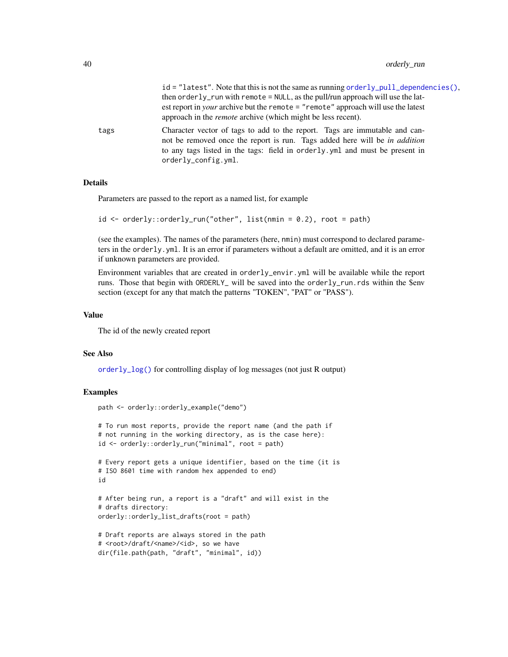$id = "latest".$  Note that this is not the same as running [orderly\\_pull\\_dependencies\(\)](#page-30-1), then orderly\_run with remote =  $NULL$ , as the pull/run approach will use the latest report in *your* archive but the remote = "remote" approach will use the latest approach in the *remote* archive (which might be less recent).

<span id="page-39-0"></span>tags Character vector of tags to add to the report. Tags are immutable and cannot be removed once the report is run. Tags added here will be *in addition* to any tags listed in the tags: field in orderly.yml and must be present in orderly\_config.yml.

## **Details**

Parameters are passed to the report as a named list, for example

```
id \leq orderly::orderly_run("other", list(nmin = 0.2), root = path)
```
(see the examples). The names of the parameters (here, nmin) must correspond to declared parameters in the orderly.yml. It is an error if parameters without a default are omitted, and it is an error if unknown parameters are provided.

Environment variables that are created in orderly\_envir.yml will be available while the report runs. Those that begin with ORDERLY\_ will be saved into the orderly\_run.rds within the \$env section (except for any that match the patterns "TOKEN", "PAT" or "PASS").

#### Value

The id of the newly created report

path <- orderly::orderly\_example("demo")

#### See Also

[orderly\\_log\(\)](#page-26-1) for controlling display of log messages (not just R output)

```
# To run most reports, provide the report name (and the path if
# not running in the working directory, as is the case here):
id <- orderly::orderly_run("minimal", root = path)
# Every report gets a unique identifier, based on the time (it is
# ISO 8601 time with random hex appended to end)
id
# After being run, a report is a "draft" and will exist in the
# drafts directory:
orderly::orderly_list_drafts(root = path)
# Draft reports are always stored in the path
# <root>/draft/<name>/<id>, so we have
dir(file.path(path, "draft", "minimal", id))
```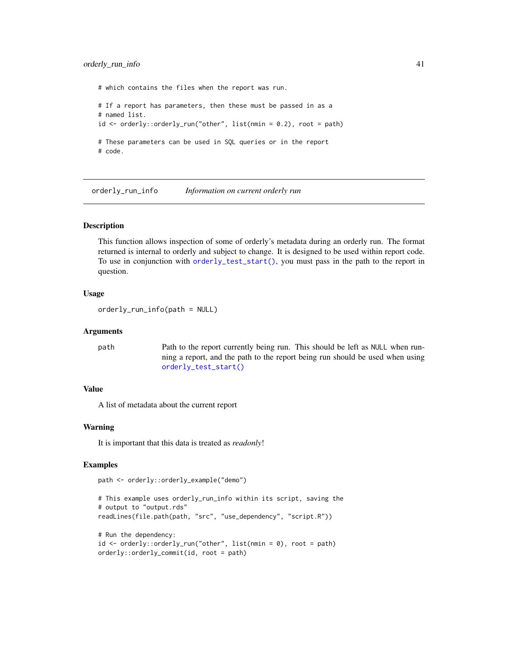## <span id="page-40-0"></span>orderly\_run\_info 41

# which contains the files when the report was run. # If a report has parameters, then these must be passed in as a # named list.  $id \leq$  orderly::orderly\_run("other", list(nmin = 0.2), root = path) # These parameters can be used in SQL queries or in the report # code.

orderly\_run\_info *Information on current orderly run*

## **Description**

This function allows inspection of some of orderly's metadata during an orderly run. The format returned is internal to orderly and subject to change. It is designed to be used within report code. To use in conjunction with [orderly\\_test\\_start\(\)](#page-45-1), you must pass in the path to the report in question.

#### Usage

orderly\_run\_info(path = NULL)

## Arguments

path Path to the report currently being run. This should be left as NULL when running a report, and the path to the report being run should be used when using [orderly\\_test\\_start\(\)](#page-45-1)

## Value

A list of metadata about the current report

#### Warning

It is important that this data is treated as *readonly*!

```
path <- orderly::orderly_example("demo")
```

```
# This example uses orderly_run_info within its script, saving the
# output to "output.rds"
readLines(file.path(path, "src", "use_dependency", "script.R"))
# Run the dependency:
id <- orderly::orderly_run("other", list(nmin = 0), root = path)
orderly::orderly_commit(id, root = path)
```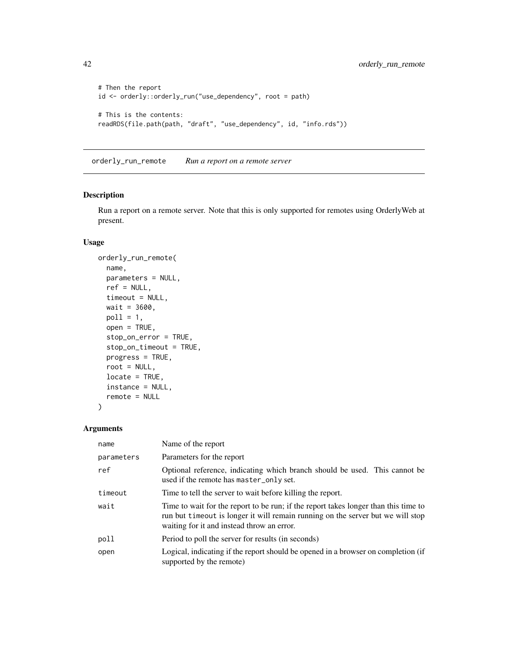```
# Then the report
id <- orderly::orderly_run("use_dependency", root = path)
# This is the contents:
readRDS(file.path(path, "draft", "use_dependency", id, "info.rds"))
```
orderly\_run\_remote *Run a report on a remote server*

## Description

Run a report on a remote server. Note that this is only supported for remotes using OrderlyWeb at present.

## Usage

```
orderly_run_remote(
 name,
 parameters = NULL,
 ref = NULL,
  timeout = NULL,
 wait = 3600,pol1 = 1,
 open = TRUE,stop_on_error = TRUE,
  stop_on_timeout = TRUE,
 progress = TRUE,
 root = NULL,
 locate = TRUE,
  instance = NULL,
  remote = NULL
)
```
## Arguments

| name       | Name of the report                                                                                                                                                                                                   |
|------------|----------------------------------------------------------------------------------------------------------------------------------------------------------------------------------------------------------------------|
| parameters | Parameters for the report                                                                                                                                                                                            |
| ref        | Optional reference, indicating which branch should be used. This cannot be<br>used if the remote has master_only set.                                                                                                |
| timeout    | Time to tell the server to wait before killing the report.                                                                                                                                                           |
| wait       | Time to wait for the report to be run; if the report takes longer than this time to<br>run but timeout is longer it will remain running on the server but we will stop<br>waiting for it and instead throw an error. |
| poll       | Period to poll the server for results (in seconds)                                                                                                                                                                   |
| open       | Logical, indicating if the report should be opened in a browser on completion (if<br>supported by the remote)                                                                                                        |

<span id="page-41-0"></span>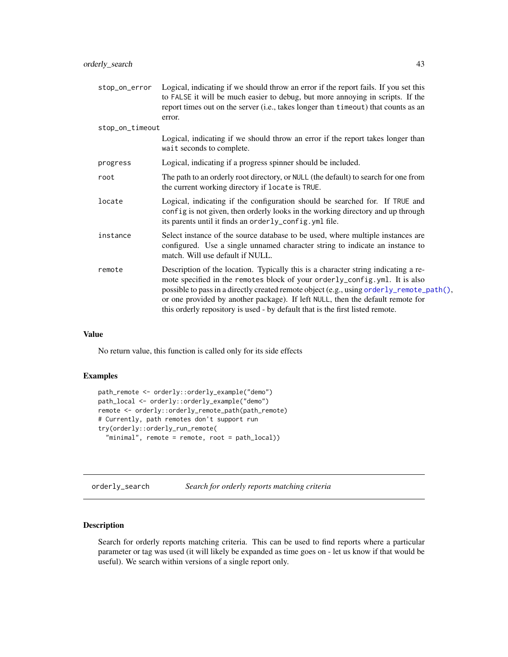<span id="page-42-0"></span>

| stop_on_error Logical, indicating if we should throw an error if the report fails. If you set this<br>to FALSE it will be much easier to debug, but more annoying in scripts. If the<br>report times out on the server (i.e., takes longer than timeout) that counts as an<br>error.                                                                                                                                             |
|----------------------------------------------------------------------------------------------------------------------------------------------------------------------------------------------------------------------------------------------------------------------------------------------------------------------------------------------------------------------------------------------------------------------------------|
| stop_on_timeout                                                                                                                                                                                                                                                                                                                                                                                                                  |
| Logical, indicating if we should throw an error if the report takes longer than<br>wait seconds to complete.                                                                                                                                                                                                                                                                                                                     |
| Logical, indicating if a progress spinner should be included.                                                                                                                                                                                                                                                                                                                                                                    |
| The path to an orderly root directory, or NULL (the default) to search for one from<br>the current working directory if locate is TRUE.                                                                                                                                                                                                                                                                                          |
| Logical, indicating if the configuration should be searched for. If TRUE and<br>config is not given, then orderly looks in the working directory and up through<br>its parents until it finds an orderly_config.yml file.                                                                                                                                                                                                        |
| Select instance of the source database to be used, where multiple instances are<br>configured. Use a single unnamed character string to indicate an instance to<br>match. Will use default if NULL.                                                                                                                                                                                                                              |
| Description of the location. Typically this is a character string indicating a re-<br>mote specified in the remotes block of your orderly_config.yml. It is also<br>possible to pass in a directly created remote object (e.g., using order ly_remote_path(),<br>or one provided by another package). If left NULL, then the default remote for<br>this orderly repository is used - by default that is the first listed remote. |
|                                                                                                                                                                                                                                                                                                                                                                                                                                  |

## Value

No return value, this function is called only for its side effects

#### Examples

```
path_remote <- orderly::orderly_example("demo")
path_local <- orderly::orderly_example("demo")
remote <- orderly::orderly_remote_path(path_remote)
# Currently, path remotes don't support run
try(orderly::orderly_run_remote(
  "minimal", remote = remote, root = path_local))
```
orderly\_search *Search for orderly reports matching criteria*

## Description

Search for orderly reports matching criteria. This can be used to find reports where a particular parameter or tag was used (it will likely be expanded as time goes on - let us know if that would be useful). We search within versions of a single report only.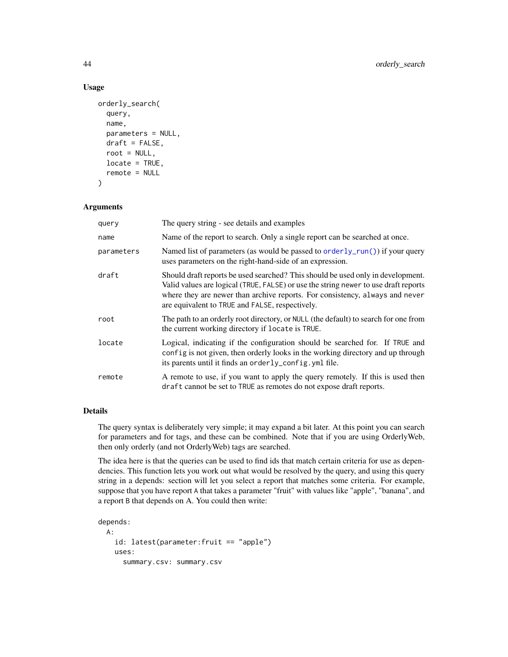## Usage

```
orderly_search(
  query,
  name,
  parameters = NULL,
  draft = FALSE,
  root = NULL,
  locate = TRUE,
  remote = NULL
\mathcal{E}
```
## Arguments

| query      | The query string - see details and examples                                                                                                                                                                                                                                                               |
|------------|-----------------------------------------------------------------------------------------------------------------------------------------------------------------------------------------------------------------------------------------------------------------------------------------------------------|
| name       | Name of the report to search. Only a single report can be searched at once.                                                                                                                                                                                                                               |
| parameters | Named list of parameters (as would be passed to $orderly.run()$ ) if your query<br>uses parameters on the right-hand-side of an expression.                                                                                                                                                               |
| draft      | Should draft reports be used searched? This should be used only in development.<br>Valid values are logical (TRUE, FALSE) or use the string newer to use draft reports<br>where they are newer than archive reports. For consistency, always and never<br>are equivalent to TRUE and FALSE, respectively. |
| root       | The path to an orderly root directory, or NULL (the default) to search for one from<br>the current working directory if locate is TRUE.                                                                                                                                                                   |
| locate     | Logical, indicating if the configuration should be searched for. If TRUE and<br>config is not given, then orderly looks in the working directory and up through<br>its parents until it finds an orderly_config.yml file.                                                                                 |
| remote     | A remote to use, if you want to apply the query remotely. If this is used then<br>draft cannot be set to TRUE as remotes do not expose draft reports.                                                                                                                                                     |

## Details

The query syntax is deliberately very simple; it may expand a bit later. At this point you can search for parameters and for tags, and these can be combined. Note that if you are using OrderlyWeb, then only orderly (and not OrderlyWeb) tags are searched.

The idea here is that the queries can be used to find ids that match certain criteria for use as dependencies. This function lets you work out what would be resolved by the query, and using this query string in a depends: section will let you select a report that matches some criteria. For example, suppose that you have report A that takes a parameter "fruit" with values like "apple", "banana", and a report B that depends on A. You could then write:

```
depends:
 A:
   id: latest(parameter:fruit == "apple")
   uses:
     summary.csv: summary.csv
```
<span id="page-43-0"></span>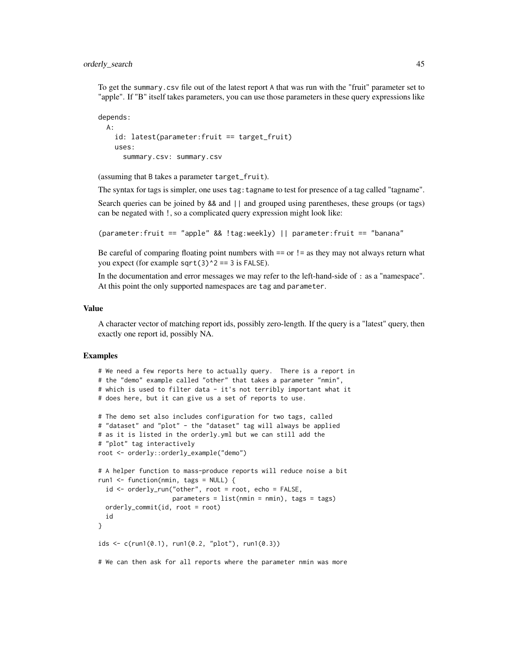To get the summary.csv file out of the latest report A that was run with the "fruit" parameter set to "apple". If "B" itself takes parameters, you can use those parameters in these query expressions like

```
depends:
 A:
   id: latest(parameter:fruit == target_fruit)
   uses:
      summary.csv: summary.csv
```
(assuming that B takes a parameter target\_fruit).

The syntax for tags is simpler, one uses tag: tagname to test for presence of a tag called "tagname".

Search queries can be joined by && and || and grouped using parentheses, these groups (or tags) can be negated with !, so a complicated query expression might look like:

(parameter:fruit == "apple" && !tag:weekly) || parameter:fruit == "banana"

Be careful of comparing floating point numbers with  $==$  or  $!=$  as they may not always return what you expect (for example sqrt(3) $\textdegree$ 2 == 3 is FALSE).

In the documentation and error messages we may refer to the left-hand-side of : as a "namespace". At this point the only supported namespaces are tag and parameter.

#### Value

A character vector of matching report ids, possibly zero-length. If the query is a "latest" query, then exactly one report id, possibly NA.

```
# We need a few reports here to actually query. There is a report in
# the "demo" example called "other" that takes a parameter "nmin",
# which is used to filter data - it's not terribly important what it
# does here, but it can give us a set of reports to use.
# The demo set also includes configuration for two tags, called
# "dataset" and "plot" - the "dataset" tag will always be applied
# as it is listed in the orderly.yml but we can still add the
# "plot" tag interactively
root <- orderly::orderly_example("demo")
# A helper function to mass-produce reports will reduce noise a bit
run1 <- function(nmin, tags = NULL) {
 id <- orderly_run("other", root = root, echo = FALSE,
                   parameters = list(min = nmin), tags = tags)
 orderly_commit(id, root = root)
 id
}
ids \leq c(run1(0.1), run1(0.2, "plot"), run1(0.3))
# We can then ask for all reports where the parameter nmin was more
```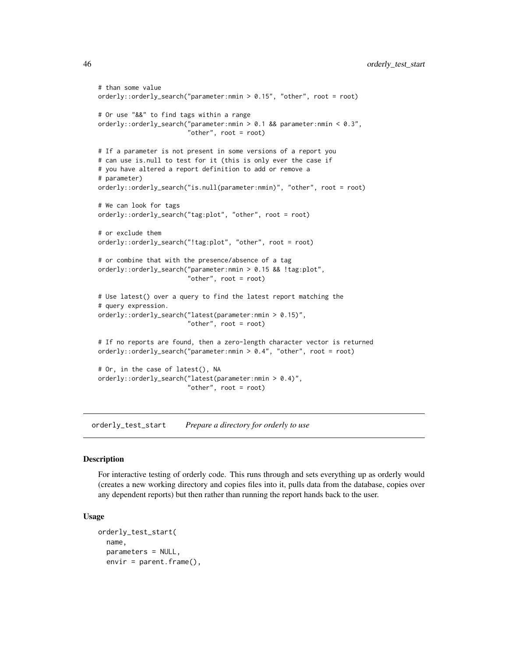```
# than some value
orderly::orderly_search("parameter:nmin > 0.15", "other", root = root)
# Or use "&&" to find tags within a range
orderly::orderly_search("parameter:nmin > 0.1 && parameter:nmin < 0.3",
                        "other", root = root)
# If a parameter is not present in some versions of a report you
# can use is.null to test for it (this is only ever the case if
# you have altered a report definition to add or remove a
# parameter)
orderly::orderly_search("is.null(parameter:nmin)", "other", root = root)
# We can look for tags
orderly::orderly_search("tag:plot", "other", root = root)
# or exclude them
orderly::orderly_search("!tag:plot", "other", root = root)
# or combine that with the presence/absence of a tag
orderly::orderly_search("parameter:nmin > 0.15 && !tag:plot",
                        "other", root = root)
# Use latest() over a query to find the latest report matching the
# query expression.
orderly::orderly_search("latest(parameter:nmin > 0.15)",
                        "other", root = root)
# If no reports are found, then a zero-length character vector is returned
orderly::orderly_search("parameter:nmin > 0.4", "other", root = root)
# Or, in the case of latest(), NA
orderly::orderly_search("latest(parameter:nmin > 0.4)",
                        "other", root = root)
```
<span id="page-45-1"></span>orderly\_test\_start *Prepare a directory for orderly to use*

#### Description

For interactive testing of orderly code. This runs through and sets everything up as orderly would (creates a new working directory and copies files into it, pulls data from the database, copies over any dependent reports) but then rather than running the report hands back to the user.

#### Usage

```
orderly_test_start(
  name,
  parameters = NULL,
  envir = parent.frame(),
```
<span id="page-45-0"></span>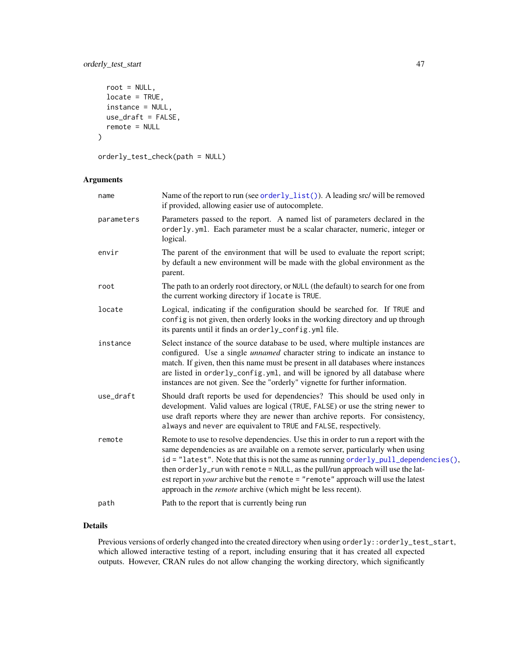## <span id="page-46-0"></span>orderly\_test\_start 47

```
root = NULL,
 locate = TRUE,
  instance = NULL,
 use_draft = FALSE,
  remote = NULL
\mathcal{L}
```
orderly\_test\_check(path = NULL)

## Arguments

| name       | Name of the report to run (see orderly_list()). A leading src/ will be removed<br>if provided, allowing easier use of autocomplete.                                                                                                                                                                                                                                                                                                                                                                                     |
|------------|-------------------------------------------------------------------------------------------------------------------------------------------------------------------------------------------------------------------------------------------------------------------------------------------------------------------------------------------------------------------------------------------------------------------------------------------------------------------------------------------------------------------------|
| parameters | Parameters passed to the report. A named list of parameters declared in the<br>orderly.yml. Each parameter must be a scalar character, numeric, integer or<br>logical.                                                                                                                                                                                                                                                                                                                                                  |
| envir      | The parent of the environment that will be used to evaluate the report script;<br>by default a new environment will be made with the global environment as the<br>parent.                                                                                                                                                                                                                                                                                                                                               |
| root       | The path to an orderly root directory, or NULL (the default) to search for one from<br>the current working directory if locate is TRUE.                                                                                                                                                                                                                                                                                                                                                                                 |
| locate     | Logical, indicating if the configuration should be searched for. If TRUE and<br>config is not given, then orderly looks in the working directory and up through<br>its parents until it finds an orderly_config.yml file.                                                                                                                                                                                                                                                                                               |
| instance   | Select instance of the source database to be used, where multiple instances are<br>configured. Use a single <i>unnamed</i> character string to indicate an instance to<br>match. If given, then this name must be present in all databases where instances<br>are listed in orderly_config.yml, and will be ignored by all database where<br>instances are not given. See the "orderly" vignette for further information.                                                                                               |
| use_draft  | Should draft reports be used for dependencies? This should be used only in<br>development. Valid values are logical (TRUE, FALSE) or use the string newer to<br>use draft reports where they are newer than archive reports. For consistency,<br>always and never are equivalent to TRUE and FALSE, respectively.                                                                                                                                                                                                       |
| remote     | Remote to use to resolve dependencies. Use this in order to run a report with the<br>same dependencies as are available on a remote server, particularly when using<br>$id = "latest".$ Note that this is not the same as running orderly_pull_dependencies(),<br>then orderly_run with remote = NULL, as the pull/run approach will use the lat-<br>est report in <i>your</i> archive but the remote = $"$ remote" approach will use the latest<br>approach in the <i>remote</i> archive (which might be less recent). |
| path       | Path to the report that is currently being run                                                                                                                                                                                                                                                                                                                                                                                                                                                                          |

## Details

Previous versions of orderly changed into the created directory when using orderly::orderly\_test\_start, which allowed interactive testing of a report, including ensuring that it has created all expected outputs. However, CRAN rules do not allow changing the working directory, which significantly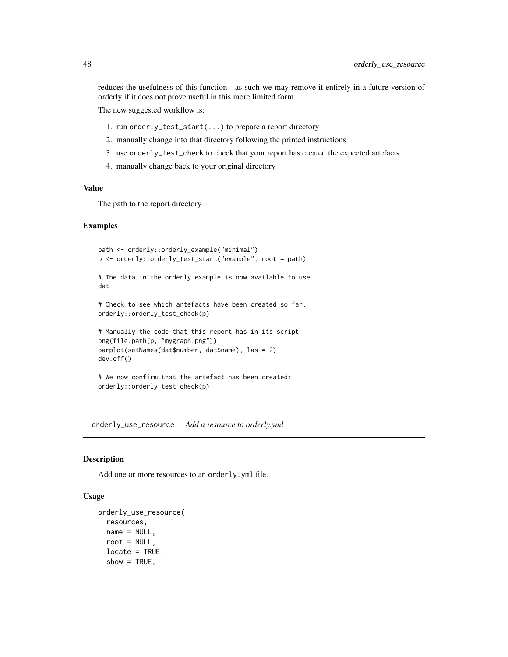<span id="page-47-0"></span>reduces the usefulness of this function - as such we may remove it entirely in a future version of orderly if it does not prove useful in this more limited form.

The new suggested workflow is:

- 1. run orderly\_test\_start(...) to prepare a report directory
- 2. manually change into that directory following the printed instructions
- 3. use orderly\_test\_check to check that your report has created the expected artefacts
- 4. manually change back to your original directory

#### Value

The path to the report directory

#### Examples

```
path <- orderly::orderly_example("minimal")
p <- orderly::orderly_test_start("example", root = path)
# The data in the orderly example is now available to use
dat
# Check to see which artefacts have been created so far:
orderly::orderly_test_check(p)
# Manually the code that this report has in its script
png(file.path(p, "mygraph.png"))
barplot(setNames(dat$number, dat$name), las = 2)
dev.off()
# We now confirm that the artefact has been created:
orderly::orderly_test_check(p)
```
orderly\_use\_resource *Add a resource to orderly.yml*

#### **Description**

Add one or more resources to an orderly.yml file.

## Usage

```
orderly_use_resource(
  resources,
 name = NULL,
  root = NULL,locate = TRUE,
  show = TRUE,
```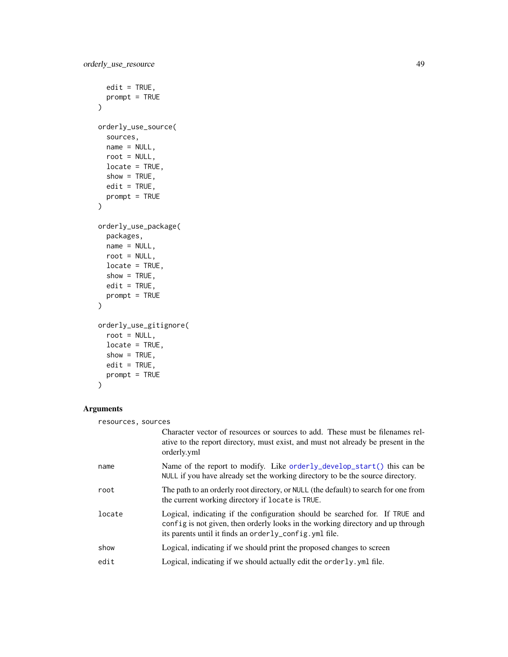```
edit = TRUE,prompt = TRUE
\mathcal{L}orderly_use_source(
  sources,
  name = NULL,root = NULL,
  locate = TRUE,
  show = TRUE,
  edit = TRUE,prompt = TRUE
\mathcal{L}orderly_use_package(
  packages,
  name = NULL,
  root = NULL,
  locate = TRUE,
  show = TRUE,
  edit = TRUE,prompt = TRUE
\mathcal{L}orderly_use_gitignore(
  root = NULL,
  locate = TRUE,
  show = TRUE,edit = TRUE,prompt = TRUE
```
## Arguments

)

| resources, sources |                                                                                                                                                                                                                            |
|--------------------|----------------------------------------------------------------------------------------------------------------------------------------------------------------------------------------------------------------------------|
|                    | Character vector of resources or sources to add. These must be filenames rel-<br>ative to the report directory, must exist, and must not already be present in the<br>orderly.yml                                          |
| name               | Name of the report to modify. Like orderly_develop_start() this can be<br>NULL if you have already set the working directory to be the source directory.                                                                   |
| root               | The path to an orderly root directory, or NULL (the default) to search for one from<br>the current working directory if locate is TRUE.                                                                                    |
| locate             | Logical, indicating if the configuration should be searched for. If TRUE and<br>config is not given, then orderly looks in the working directory and up through<br>its parents until it finds an orderly_config. yml file. |
| show               | Logical, indicating if we should print the proposed changes to screen                                                                                                                                                      |
| edit               | Logical, indicating if we should actually edit the orderly. yml file.                                                                                                                                                      |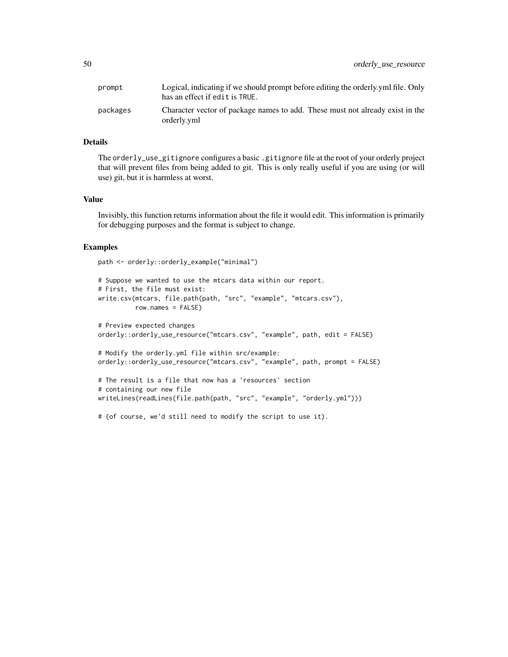| prompt   | Logical, indicating if we should prompt before editing the orderly yml file. Only<br>has an effect if edit is TRUE. |
|----------|---------------------------------------------------------------------------------------------------------------------|
| packages | Character vector of package names to add. These must not already exist in the<br>orderly.yml                        |

## Details

The orderly\_use\_gitignore configures a basic .gitignore file at the root of your orderly project that will prevent files from being added to git. This is only really useful if you are using (or will use) git, but it is harmless at worst.

#### Value

Invisibly, this function returns information about the file it would edit. This information is primarily for debugging purposes and the format is subject to change.

#### Examples

path <- orderly::orderly\_example("minimal")

```
# Suppose we wanted to use the mtcars data within our report.
# First, the file must exist:
write.csv(mtcars, file.path(path, "src", "example", "mtcars.csv"),
         row.names = FALSE)
# Preview expected changes
orderly::orderly_use_resource("mtcars.csv", "example", path, edit = FALSE)
# Modify the orderly.yml file within src/example:
orderly::orderly_use_resource("mtcars.csv", "example", path, prompt = FALSE)
# The result is a file that now has a 'resources' section
# containing our new file
writeLines(readLines(file.path(path, "src", "example", "orderly.yml")))
```
# (of course, we'd still need to modify the script to use it).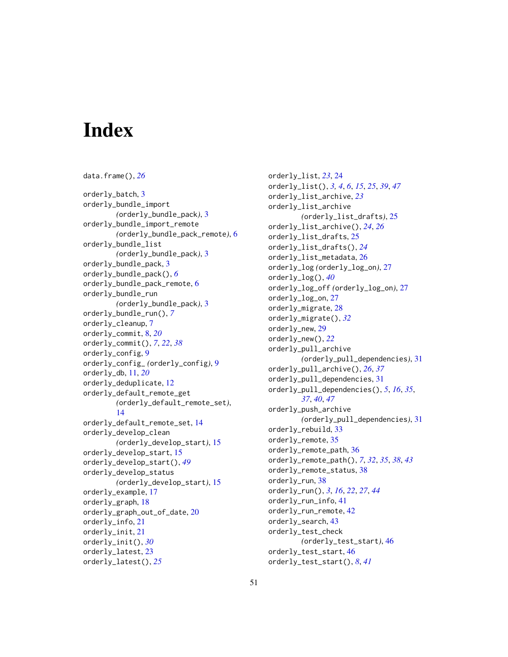# <span id="page-50-0"></span>**Index**

data.frame(), *[26](#page-25-0)* orderly\_batch, [3](#page-2-0) orderly\_bundle\_import *(*orderly\_bundle\_pack*)*, [3](#page-2-0) orderly\_bundle\_import\_remote *(*orderly\_bundle\_pack\_remote*)*, [6](#page-5-0) orderly\_bundle\_list *(*orderly\_bundle\_pack*)*, [3](#page-2-0) orderly\_bundle\_pack, [3](#page-2-0) orderly\_bundle\_pack(), *[6](#page-5-0)* orderly\_bundle\_pack\_remote, [6](#page-5-0) orderly\_bundle\_run *(*orderly\_bundle\_pack*)*, [3](#page-2-0) orderly\_bundle\_run(), *[7](#page-6-0)* orderly\_cleanup, [7](#page-6-0) orderly\_commit, [8,](#page-7-0) *[20](#page-19-0)* orderly\_commit(), *[7](#page-6-0)*, *[22](#page-21-0)*, *[38](#page-37-0)* orderly\_config, [9](#page-8-0) orderly\_config\_ *(*orderly\_config*)*, [9](#page-8-0) orderly\_db, [11,](#page-10-0) *[20](#page-19-0)* orderly\_deduplicate, [12](#page-11-0) orderly\_default\_remote\_get *(*orderly\_default\_remote\_set*)*, [14](#page-13-0) orderly\_default\_remote\_set, [14](#page-13-0) orderly\_develop\_clean *(*orderly\_develop\_start*)*, [15](#page-14-0) orderly\_develop\_start, [15](#page-14-0) orderly\_develop\_start(), *[49](#page-48-0)* orderly\_develop\_status *(*orderly\_develop\_start*)*, [15](#page-14-0) orderly\_example, [17](#page-16-0) orderly\_graph, [18](#page-17-0) orderly\_graph\_out\_of\_date, [20](#page-19-0) orderly\_info, [21](#page-20-0) orderly\_init, [21](#page-20-0) orderly\_init(), *[30](#page-29-0)* orderly\_latest, [23](#page-22-0) orderly\_latest(), *[25](#page-24-0)*

orderly\_list, *[23](#page-22-0)*, [24](#page-23-0) orderly\_list(), *[3,](#page-2-0) [4](#page-3-0)*, *[6](#page-5-0)*, *[15](#page-14-0)*, *[25](#page-24-0)*, *[39](#page-38-0)*, *[47](#page-46-0)* orderly\_list\_archive, *[23](#page-22-0)* orderly\_list\_archive *(*orderly\_list\_drafts*)*, [25](#page-24-0) orderly\_list\_archive(), *[24](#page-23-0)*, *[26](#page-25-0)* orderly\_list\_drafts, [25](#page-24-0) orderly\_list\_drafts(), *[24](#page-23-0)* orderly\_list\_metadata, [26](#page-25-0) orderly\_log *(*orderly\_log\_on*)*, [27](#page-26-0) orderly\_log(), *[40](#page-39-0)* orderly\_log\_off *(*orderly\_log\_on*)*, [27](#page-26-0) orderly\_log\_on, [27](#page-26-0) orderly\_migrate, [28](#page-27-0) orderly\_migrate(), *[32](#page-31-0)* orderly\_new, [29](#page-28-0) orderly\_new(), *[22](#page-21-0)* orderly\_pull\_archive *(*orderly\_pull\_dependencies*)*, [31](#page-30-0) orderly\_pull\_archive(), *[26](#page-25-0)*, *[37](#page-36-0)* orderly\_pull\_dependencies, [31](#page-30-0) orderly\_pull\_dependencies(), *[5](#page-4-0)*, *[16](#page-15-0)*, *[35](#page-34-0)*, *[37](#page-36-0)*, *[40](#page-39-0)*, *[47](#page-46-0)* orderly\_push\_archive *(*orderly\_pull\_dependencies*)*, [31](#page-30-0) orderly\_rebuild, [33](#page-32-0) orderly\_remote, [35](#page-34-0) orderly\_remote\_path, [36](#page-35-0) orderly\_remote\_path(), *[7](#page-6-0)*, *[32](#page-31-0)*, *[35](#page-34-0)*, *[38](#page-37-0)*, *[43](#page-42-0)* orderly\_remote\_status, [38](#page-37-0) orderly\_run, [38](#page-37-0) orderly\_run(), *[3](#page-2-0)*, *[16](#page-15-0)*, *[22](#page-21-0)*, *[27](#page-26-0)*, *[44](#page-43-0)* orderly\_run\_info, [41](#page-40-0) orderly\_run\_remote, [42](#page-41-0) orderly\_search, [43](#page-42-0) orderly\_test\_check *(*orderly\_test\_start*)*, [46](#page-45-0) orderly\_test\_start, [46](#page-45-0) orderly\_test\_start(), *[8](#page-7-0)*, *[41](#page-40-0)*